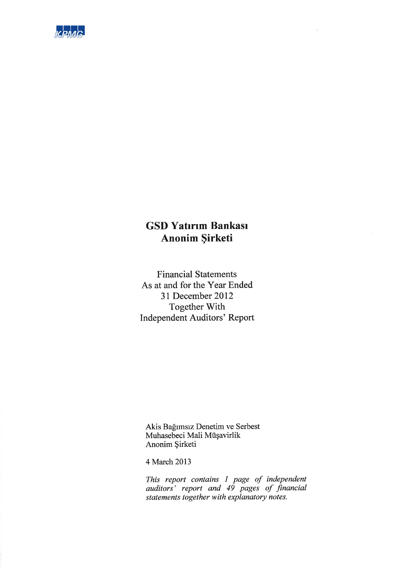

# **GSD Yatırım Bankası** Anonim Şirketi

**Financial Statements** As at and for the Year Ended 31 December 2012 Together With **Independent Auditors' Report** 

Akis Bağımsız Denetim ve Serbest<br>Muhasebeci Mali Müşavirlik Anonim Şirketi

4 March 2013

This report contains 1 page of independent<br>auditors' report and 49 pages of financial<br>statements together with explanatory notes.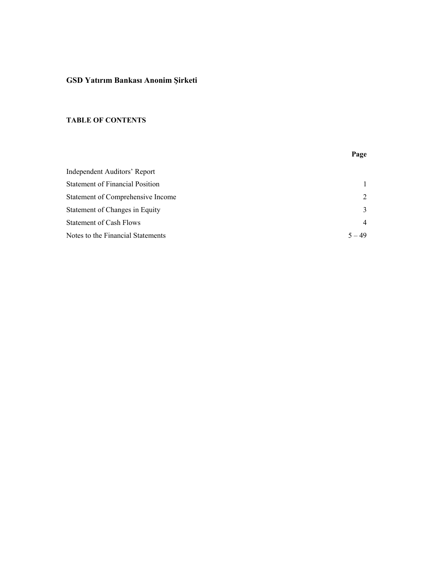## **GSD Yatırım Bankası Anonim Şirketi**

## **TABLE OF CONTENTS**

# **Page**  Independent Auditors' Report Statement of Financial Position 1 Statement of Comprehensive Income 2 Statement of Changes in Equity 3 Statement of Cash Flows 4 Notes to the Financial Statements 5 – 49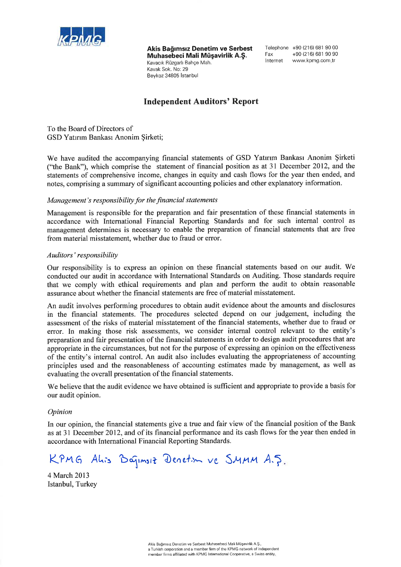

Akis Bağımsız Denetim ve Serbest Muhasebeci Mali Müsavirlik A.S. Kavacık Rüzgarlı Bahçe Mah. Kavak Sok, No: 29 Beykoz 34805 İstanbul

Telephone +90 (216) 681 90 00 +90 (216) 681 90 90 Fax Internet www.kpmg.com.tr

## **Independent Auditors' Report**

To the Board of Directors of GSD Yatırım Bankası Anonim Sirketi;

We have audited the accompanying financial statements of GSD Yatırım Bankası Anonim Şirketi ("the Bank"), which comprise the statement of financial position as at 31 December 2012, and the statements of comprehensive income, changes in equity and cash flows for the year then ended, and notes, comprising a summary of significant accounting policies and other explanatory information.

## Management's responsibility for the financial statements

Management is responsible for the preparation and fair presentation of these financial statements in accordance with International Financial Reporting Standards and for such internal control as management determines is necessary to enable the preparation of financial statements that are free from material misstatement, whether due to fraud or error.

## Auditors' responsibility

Our responsibility is to express an opinion on these financial statements based on our audit. We conducted our audit in accordance with International Standards on Auditing. Those standards require that we comply with ethical requirements and plan and perform the audit to obtain reasonable assurance about whether the financial statements are free of material misstatement.

An audit involves performing procedures to obtain audit evidence about the amounts and disclosures in the financial statements. The procedures selected depend on our judgement, including the assessment of the risks of material misstatement of the financial statements, whether due to fraud or error. In making those risk assessments, we consider internal control relevant to the entity's preparation and fair presentation of the financial statements in order to design audit procedures that are appropriate in the circumstances, but not for the purpose of expressing an opinion on the effectiveness of the entity's internal control. An audit also includes evaluating the appropriateness of accounting principles used and the reasonableness of accounting estimates made by management, as well as evaluating the overall presentation of the financial statements.

We believe that the audit evidence we have obtained is sufficient and appropriate to provide a basis for our audit opinion.

### Opinion

In our opinion, the financial statements give a true and fair view of the financial position of the Bank as at 31 December 2012, and of its financial performance and its cash flows for the year then ended in accordance with International Financial Reporting Standards.

KPMG Alis Baginsiz Denetion ve SMMM A.J.

4 March 2013 Istanbul, Turkey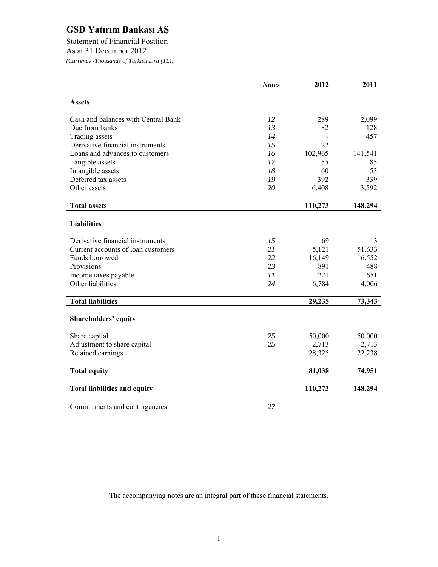Statement of Financial Position As at 31 December 2012 *(Currency -Thousands of Turkish Lira (TL))* 

|                                     | <b>Notes</b> | 2012    | 2011    |
|-------------------------------------|--------------|---------|---------|
| <b>Assets</b>                       |              |         |         |
|                                     |              |         |         |
| Cash and balances with Central Bank | 12           | 289     | 2,099   |
| Due from banks                      | 13           | 82      | 128     |
| Trading assets                      | 14           |         | 457     |
| Derivative financial instruments    | 15           | 22      |         |
| Loans and advances to customers     | 16           | 102,965 | 141,541 |
| Tangible assets                     | 17           | 55      | 85      |
| Intangible assets                   | 18           | 60      | 53      |
| Deferred tax assets                 | 19           | 392     | 339     |
| Other assets                        | 20           | 6,408   | 3,592   |
| <b>Total assets</b>                 |              | 110,273 | 148,294 |
|                                     |              |         |         |
| <b>Liabilities</b>                  |              |         |         |
| Derivative financial instruments    | 15           | 69      | 13      |
| Current accounts of loan customers  | 21           | 5,121   | 51,633  |
| Funds borrowed                      | 22           | 16,149  | 16,552  |
| Provisions                          | 23           | 891     | 488     |
| Income taxes payable                | 11           | 221     | 651     |
| Other liabilities                   | 24           | 6,784   | 4,006   |
| <b>Total liabilities</b>            |              | 29,235  | 73,343  |
|                                     |              |         |         |
| <b>Shareholders' equity</b>         |              |         |         |
| Share capital                       | 25           | 50,000  | 50,000  |
| Adjustment to share capital         | 25           | 2,713   | 2,713   |
| Retained earnings                   |              | 28,325  | 22,238  |
| <b>Total equity</b>                 |              | 81,038  | 74,951  |
|                                     |              |         |         |
| <b>Total liabilities and equity</b> |              | 110,273 | 148,294 |
|                                     |              |         |         |

Commitments and contingencies *27*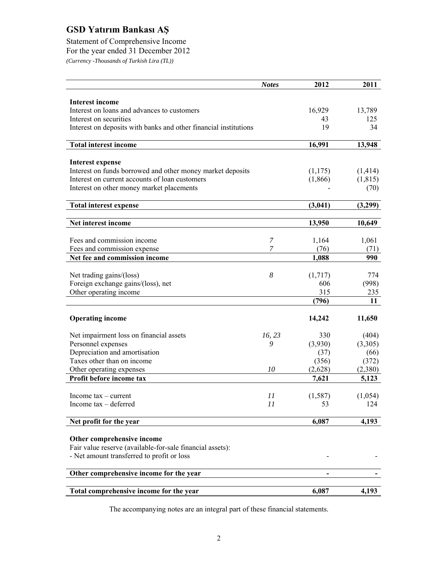Statement of Comprehensive Income For the year ended 31 December 2012 *(Currency -Thousands of Turkish Lira (TL))* 

|                                                                       | <b>Notes</b> | 2012          | 2011          |
|-----------------------------------------------------------------------|--------------|---------------|---------------|
|                                                                       |              |               |               |
| <b>Interest income</b>                                                |              |               |               |
| Interest on loans and advances to customers<br>Interest on securities |              | 16,929<br>43  | 13,789<br>125 |
| Interest on deposits with banks and other financial institutions      |              | 19            | 34            |
|                                                                       |              |               |               |
| <b>Total interest income</b>                                          |              | 16,991        | 13,948        |
|                                                                       |              |               |               |
| <b>Interest expense</b>                                               |              |               |               |
| Interest on funds borrowed and other money market deposits            |              | (1,175)       | (1, 414)      |
| Interest on current accounts of loan customers                        |              | (1,866)       | (1, 815)      |
| Interest on other money market placements                             |              |               | (70)          |
| <b>Total interest expense</b>                                         |              | (3,041)       | (3,299)       |
|                                                                       |              |               |               |
| Net interest income                                                   |              | 13,950        | 10,649        |
|                                                                       |              |               |               |
| Fees and commission income                                            | 7<br>7       | 1,164         | 1,061         |
| Fees and commission expense                                           |              | (76)<br>1,088 | (71)<br>990   |
| Net fee and commission income                                         |              |               |               |
| Net trading gains/(loss)                                              | 8            | (1,717)       | 774           |
| Foreign exchange gains/(loss), net                                    |              | 606           | (998)         |
| Other operating income                                                |              | 315           | 235           |
|                                                                       |              | (796)         | 11            |
|                                                                       |              |               |               |
| <b>Operating income</b>                                               |              | 14,242        | 11,650        |
|                                                                       |              |               |               |
| Net impairment loss on financial assets                               | 16, 23       | 330           | (404)         |
| Personnel expenses                                                    | 9            | (3,930)       | (3,305)       |
| Depreciation and amortisation                                         |              | (37)          | (66)          |
| Taxes other than on income                                            |              | (356)         | (372)         |
| Other operating expenses                                              | 10           | (2,628)       | (2,380)       |
| Profit before income tax                                              |              | 7,621         | 5,123         |
| Income $tax$ – current                                                | 11           | (1, 587)      | (1,054)       |
| Income tax - deferred                                                 | 11           | 53            | 124           |
|                                                                       |              |               |               |
| Net profit for the year                                               |              | 6,087         | 4,193         |
|                                                                       |              |               |               |
| Other comprehensive income                                            |              |               |               |
| Fair value reserve (available-for-sale financial assets):             |              |               |               |
| - Net amount transferred to profit or loss                            |              |               |               |
| Other comprehensive income for the year                               |              |               |               |
|                                                                       |              |               |               |
| Total comprehensive income for the year                               |              | 6,087         | 4,193         |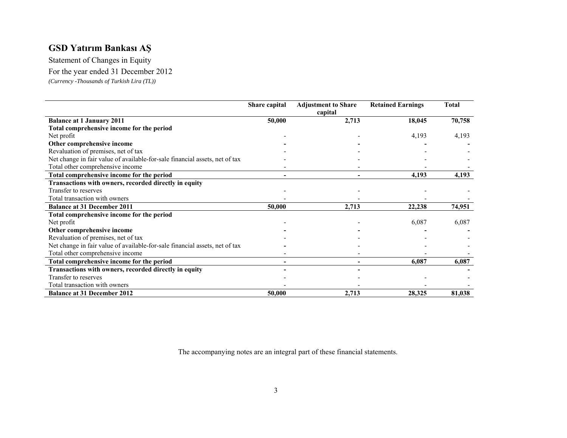Statement of Changes in Equity For the year ended 31 December 2012

*(Currency -Thousands of Turkish Lira (TL))* 

|                                                                             | Share capital | <b>Adjustment to Share</b> | <b>Retained Earnings</b> | <b>Total</b> |
|-----------------------------------------------------------------------------|---------------|----------------------------|--------------------------|--------------|
|                                                                             |               | capital                    |                          |              |
| <b>Balance at 1 January 2011</b>                                            | 50,000        | 2,713                      | 18,045                   | 70,758       |
| Total comprehensive income for the period                                   |               |                            |                          |              |
| Net profit                                                                  |               |                            | 4,193                    | 4,193        |
| Other comprehensive income                                                  |               |                            |                          |              |
| Revaluation of premises, net of tax                                         |               |                            |                          |              |
| Net change in fair value of available-for-sale financial assets, net of tax |               |                            |                          |              |
| Total other comprehensive income                                            |               |                            |                          |              |
| Total comprehensive income for the period                                   |               |                            | 4,193                    | 4,193        |
| Transactions with owners, recorded directly in equity                       |               |                            |                          |              |
| Transfer to reserves                                                        |               |                            |                          |              |
| Total transaction with owners                                               |               |                            |                          |              |
| <b>Balance at 31 December 2011</b>                                          | 50,000        | 2,713                      | 22,238                   | 74,951       |
| Total comprehensive income for the period                                   |               |                            |                          |              |
| Net profit                                                                  |               |                            | 6,087                    | 6,087        |
| Other comprehensive income                                                  |               |                            |                          |              |
| Revaluation of premises, net of tax                                         |               |                            |                          |              |
| Net change in fair value of available-for-sale financial assets, net of tax |               |                            |                          |              |
| Total other comprehensive income                                            |               |                            |                          |              |
| Total comprehensive income for the period                                   |               |                            | 6,087                    | 6,087        |
| Transactions with owners, recorded directly in equity                       |               |                            |                          |              |
| Transfer to reserves                                                        |               |                            |                          |              |
| Total transaction with owners                                               |               |                            |                          |              |
| <b>Balance at 31 December 2012</b>                                          | 50,000        | 2,713                      | 28,325                   | 81,038       |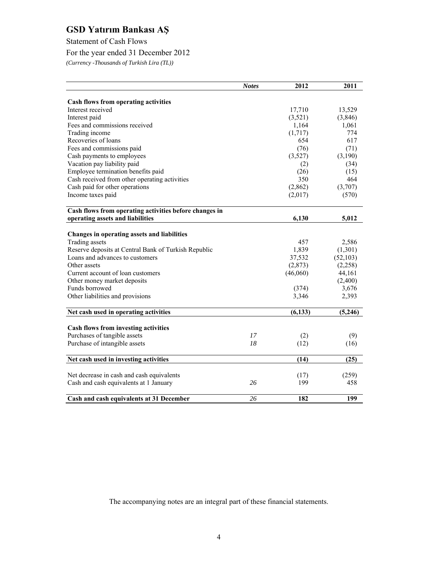Statement of Cash Flows

For the year ended 31 December 2012

*(Currency -Thousands of Turkish Lira (TL))* 

|                                                        | <b>Notes</b> | 2012     | 2011      |
|--------------------------------------------------------|--------------|----------|-----------|
|                                                        |              |          |           |
| Cash flows from operating activities                   |              |          |           |
| Interest received                                      |              | 17,710   | 13,529    |
| Interest paid                                          |              | (3,521)  | (3, 846)  |
| Fees and commissions received                          |              | 1,164    | 1,061     |
| Trading income                                         |              | (1,717)  | 774       |
| Recoveries of loans                                    |              | 654      | 617       |
| Fees and commissions paid                              |              | (76)     | (71)      |
| Cash payments to employees                             |              | (3,527)  | (3,190)   |
| Vacation pay liability paid                            |              | (2)      | (34)      |
| Employee termination benefits paid                     |              | (26)     | (15)      |
| Cash received from other operating activities          |              | 350      | 464       |
| Cash paid for other operations                         |              | (2,862)  | (3,707)   |
| Income taxes paid                                      |              | (2,017)  | (570)     |
| Cash flows from operating activities before changes in |              |          |           |
| operating assets and liabilities                       |              | 6,130    | 5,012     |
| Changes in operating assets and liabilities            |              |          |           |
| Trading assets                                         |              | 457      | 2,586     |
| Reserve deposits at Central Bank of Turkish Republic   |              | 1,839    | (1,301)   |
| Loans and advances to customers                        |              | 37,532   | (52, 103) |
| Other assets                                           |              | (2,873)  | (2,258)   |
| Current account of loan customers                      |              | (46,060) | 44,161    |
| Other money market deposits                            |              |          | (2,400)   |
| Funds borrowed                                         |              | (374)    | 3,676     |
| Other liabilities and provisions                       |              | 3,346    | 2,393     |
|                                                        |              |          |           |
| Net cash used in operating activities                  |              | (6, 133) | (5, 246)  |
| <b>Cash flows from investing activities</b>            |              |          |           |
| Purchases of tangible assets                           | 17           | (2)      | (9)       |
| Purchase of intangible assets                          | 18           | (12)     | (16)      |
| Net cash used in investing activities                  |              | (14)     | (25)      |
| Net decrease in cash and cash equivalents              |              | (17)     | (259)     |
|                                                        | 26           | 199      |           |
| Cash and cash equivalents at 1 January                 |              |          | 458       |
| Cash and cash equivalents at 31 December               | 26           | 182      | 199       |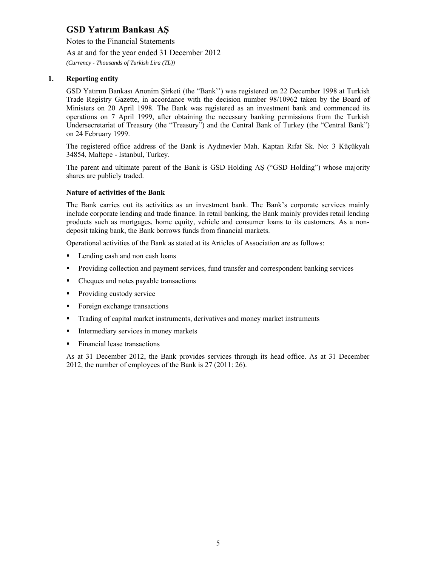Notes to the Financial Statements As at and for the year ended 31 December 2012 *(Currency - Thousands of Turkish Lira (TL))* 

## **1. Reporting entity**

GSD Yatırım Bankası Anonim Şirketi (the "Bank'') was registered on 22 December 1998 at Turkish Trade Registry Gazette, in accordance with the decision number 98/10962 taken by the Board of Ministers on 20 April 1998. The Bank was registered as an investment bank and commenced its operations on 7 April 1999, after obtaining the necessary banking permissions from the Turkish Undersecretariat of Treasury (the "Treasury") and the Central Bank of Turkey (the "Central Bank") on 24 February 1999.

The registered office address of the Bank is Aydınevler Mah. Kaptan Rıfat Sk. No: 3 Küçükyalı 34854, Maltepe - Istanbul, Turkey.

The parent and ultimate parent of the Bank is GSD Holding AŞ ("GSD Holding") whose majority shares are publicly traded.

#### **Nature of activities of the Bank**

The Bank carries out its activities as an investment bank. The Bank's corporate services mainly include corporate lending and trade finance. In retail banking, the Bank mainly provides retail lending products such as mortgages, home equity, vehicle and consumer loans to its customers. As a nondeposit taking bank, the Bank borrows funds from financial markets.

Operational activities of the Bank as stated at its Articles of Association are as follows:

- **Lending cash and non cash loans**
- Providing collection and payment services, fund transfer and correspondent banking services
- Cheques and notes payable transactions
- Providing custody service
- Foreign exchange transactions
- Trading of capital market instruments, derivatives and money market instruments
- Intermediary services in money markets
- Financial lease transactions

As at 31 December 2012, the Bank provides services through its head office. As at 31 December 2012, the number of employees of the Bank is 27 (2011: 26).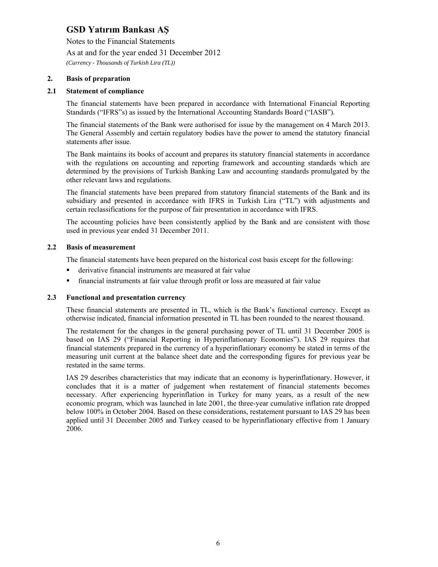Notes to the Financial Statements

As at and for the year ended 31 December 2012

*(Currency - Thousands of Turkish Lira (TL))* 

### **2. Basis of preparation**

### **2.1 Statement of compliance**

The financial statements have been prepared in accordance with International Financial Reporting Standards ("IFRS"s) as issued by the International Accounting Standards Board ("IASB").

The financial statements of the Bank were authorised for issue by the management on 4 March 2013. The General Assembly and certain regulatory bodies have the power to amend the statutory financial statements after issue.

The Bank maintains its books of account and prepares its statutory financial statements in accordance with the regulations on accounting and reporting framework and accounting standards which are determined by the provisions of Turkish Banking Law and accounting standards promulgated by the other relevant laws and regulations.

The financial statements have been prepared from statutory financial statements of the Bank and its subsidiary and presented in accordance with IFRS in Turkish Lira ("TL") with adjustments and certain reclassifications for the purpose of fair presentation in accordance with IFRS.

The accounting policies have been consistently applied by the Bank and are consistent with those used in previous year ended 31 December 2011.

#### **2.2 Basis of measurement**

The financial statements have been prepared on the historical cost basis except for the following:

- derivative financial instruments are measured at fair value
- financial instruments at fair value through profit or loss are measured at fair value

#### **2.3 Functional and presentation currency**

These financial statements are presented in TL, which is the Bank's functional currency. Except as otherwise indicated, financial information presented in TL has been rounded to the nearest thousand.

The restatement for the changes in the general purchasing power of TL until 31 December 2005 is based on IAS 29 ("Financial Reporting in Hyperinflationary Economies"). IAS 29 requires that financial statements prepared in the currency of a hyperinflationary economy be stated in terms of the measuring unit current at the balance sheet date and the corresponding figures for previous year be restated in the same terms.

IAS 29 describes characteristics that may indicate that an economy is hyperinflationary. However, it concludes that it is a matter of judgement when restatement of financial statements becomes necessary. After experiencing hyperinflation in Turkey for many years, as a result of the new economic program, which was launched in late 2001, the three-year cumulative inflation rate dropped below 100% in October 2004. Based on these considerations, restatement pursuant to IAS 29 has been applied until 31 December 2005 and Turkey ceased to be hyperinflationary effective from 1 January 2006.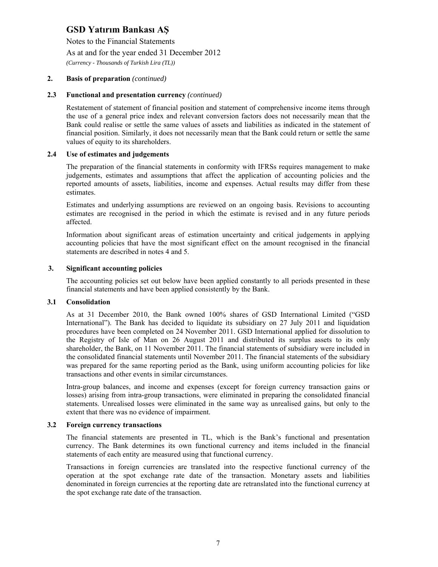Notes to the Financial Statements

As at and for the year ended 31 December 2012

*(Currency - Thousands of Turkish Lira (TL))* 

### **2. Basis of preparation** *(continued)*

#### **2.3 Functional and presentation currency** *(continued)*

Restatement of statement of financial position and statement of comprehensive income items through the use of a general price index and relevant conversion factors does not necessarily mean that the Bank could realise or settle the same values of assets and liabilities as indicated in the statement of financial position. Similarly, it does not necessarily mean that the Bank could return or settle the same values of equity to its shareholders.

#### **2.4 Use of estimates and judgements**

The preparation of the financial statements in conformity with IFRSs requires management to make judgements, estimates and assumptions that affect the application of accounting policies and the reported amounts of assets, liabilities, income and expenses. Actual results may differ from these estimates.

Estimates and underlying assumptions are reviewed on an ongoing basis. Revisions to accounting estimates are recognised in the period in which the estimate is revised and in any future periods affected.

Information about significant areas of estimation uncertainty and critical judgements in applying accounting policies that have the most significant effect on the amount recognised in the financial statements are described in notes 4 and 5.

#### **3. Significant accounting policies**

The accounting policies set out below have been applied constantly to all periods presented in these financial statements and have been applied consistently by the Bank.

#### **3.1 Consolidation**

As at 31 December 2010, the Bank owned 100% shares of GSD International Limited ("GSD International"). The Bank has decided to liquidate its subsidiary on 27 July 2011 and liquidation procedures have been completed on 24 November 2011. GSD International applied for dissolution to the Registry of Isle of Man on 26 August 2011 and distributed its surplus assets to its only shareholder, the Bank, on 11 November 2011. The financial statements of subsidiary were included in the consolidated financial statements until November 2011. The financial statements of the subsidiary was prepared for the same reporting period as the Bank, using uniform accounting policies for like transactions and other events in similar circumstances.

Intra-group balances, and income and expenses (except for foreign currency transaction gains or losses) arising from intra-group transactions, were eliminated in preparing the consolidated financial statements. Unrealised losses were eliminated in the same way as unrealised gains, but only to the extent that there was no evidence of impairment.

#### **3.2 Foreign currency transactions**

The financial statements are presented in TL, which is the Bank's functional and presentation currency. The Bank determines its own functional currency and items included in the financial statements of each entity are measured using that functional currency.

Transactions in foreign currencies are translated into the respective functional currency of the operation at the spot exchange rate date of the transaction. Monetary assets and liabilities denominated in foreign currencies at the reporting date are retranslated into the functional currency at the spot exchange rate date of the transaction.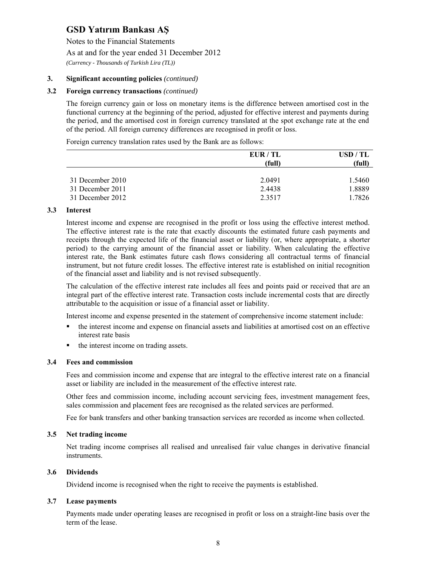Notes to the Financial Statements

As at and for the year ended 31 December 2012

*(Currency - Thousands of Turkish Lira (TL))* 

## **3. Significant accounting policies** *(continued)*

#### **3.2 Foreign currency transactions** *(continued)*

The foreign currency gain or loss on monetary items is the difference between amortised cost in the functional currency at the beginning of the period, adjusted for effective interest and payments during the period, and the amortised cost in foreign currency translated at the spot exchange rate at the end of the period. All foreign currency differences are recognised in profit or loss.

Foreign currency translation rates used by the Bank are as follows:

|                  | EUR/TL | USD/TL |
|------------------|--------|--------|
|                  | (full) | (full) |
|                  |        |        |
| 31 December 2010 | 2.0491 | 1.5460 |
| 31 December 2011 | 2.4438 | 1.8889 |
| 31 December 2012 | 2.3517 | 1.7826 |

#### **3.3 Interest**

Interest income and expense are recognised in the profit or loss using the effective interest method. The effective interest rate is the rate that exactly discounts the estimated future cash payments and receipts through the expected life of the financial asset or liability (or, where appropriate, a shorter period) to the carrying amount of the financial asset or liability. When calculating the effective interest rate, the Bank estimates future cash flows considering all contractual terms of financial instrument, but not future credit losses. The effective interest rate is established on initial recognition of the financial asset and liability and is not revised subsequently.

The calculation of the effective interest rate includes all fees and points paid or received that are an integral part of the effective interest rate. Transaction costs include incremental costs that are directly attributable to the acquisition or issue of a financial asset or liability.

Interest income and expense presented in the statement of comprehensive income statement include:

- the interest income and expense on financial assets and liabilities at amortised cost on an effective interest rate basis
- the interest income on trading assets.

### **3.4 Fees and commission**

Fees and commission income and expense that are integral to the effective interest rate on a financial asset or liability are included in the measurement of the effective interest rate.

Other fees and commission income, including account servicing fees, investment management fees, sales commission and placement fees are recognised as the related services are performed.

Fee for bank transfers and other banking transaction services are recorded as income when collected.

#### **3.5 Net trading income**

Net trading income comprises all realised and unrealised fair value changes in derivative financial instruments.

#### **3.6 Dividends**

Dividend income is recognised when the right to receive the payments is established.

#### **3.7 Lease payments**

Payments made under operating leases are recognised in profit or loss on a straight-line basis over the term of the lease.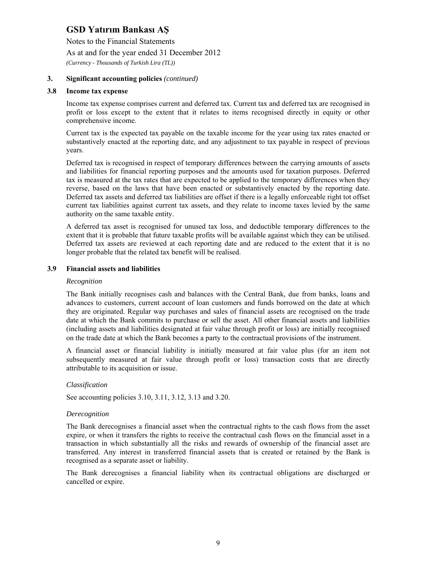Notes to the Financial Statements

As at and for the year ended 31 December 2012

*(Currency - Thousands of Turkish Lira (TL))* 

### **3. Significant accounting policies** *(continued)*

#### **3.8 Income tax expense**

Income tax expense comprises current and deferred tax. Current tax and deferred tax are recognised in profit or loss except to the extent that it relates to items recognised directly in equity or other comprehensive income.

Current tax is the expected tax payable on the taxable income for the year using tax rates enacted or substantively enacted at the reporting date, and any adjustment to tax payable in respect of previous years.

Deferred tax is recognised in respect of temporary differences between the carrying amounts of assets and liabilities for financial reporting purposes and the amounts used for taxation purposes. Deferred tax is measured at the tax rates that are expected to be applied to the temporary differences when they reverse, based on the laws that have been enacted or substantively enacted by the reporting date. Deferred tax assets and deferred tax liabilities are offset if there is a legally enforceable right tot offset current tax liabilities against current tax assets, and they relate to income taxes levied by the same authority on the same taxable entity.

A deferred tax asset is recognised for unused tax loss, and deductible temporary differences to the extent that it is probable that future taxable profits will be available against which they can be utilised. Deferred tax assets are reviewed at each reporting date and are reduced to the extent that it is no longer probable that the related tax benefit will be realised.

#### **3.9 Financial assets and liabilities**

#### *Recognition*

The Bank initially recognises cash and balances with the Central Bank, due from banks, loans and advances to customers, current account of loan customers and funds borrowed on the date at which they are originated. Regular way purchases and sales of financial assets are recognised on the trade date at which the Bank commits to purchase or sell the asset. All other financial assets and liabilities (including assets and liabilities designated at fair value through profit or loss) are initially recognised on the trade date at which the Bank becomes a party to the contractual provisions of the instrument.

A financial asset or financial liability is initially measured at fair value plus (for an item not subsequently measured at fair value through profit or loss) transaction costs that are directly attributable to its acquisition or issue.

#### *Classification*

See accounting policies 3.10, 3.11, 3.12, 3.13 and 3.20.

#### *Derecognition*

The Bank derecognises a financial asset when the contractual rights to the cash flows from the asset expire, or when it transfers the rights to receive the contractual cash flows on the financial asset in a transaction in which substantially all the risks and rewards of ownership of the financial asset are transferred. Any interest in transferred financial assets that is created or retained by the Bank is recognised as a separate asset or liability.

The Bank derecognises a financial liability when its contractual obligations are discharged or cancelled or expire.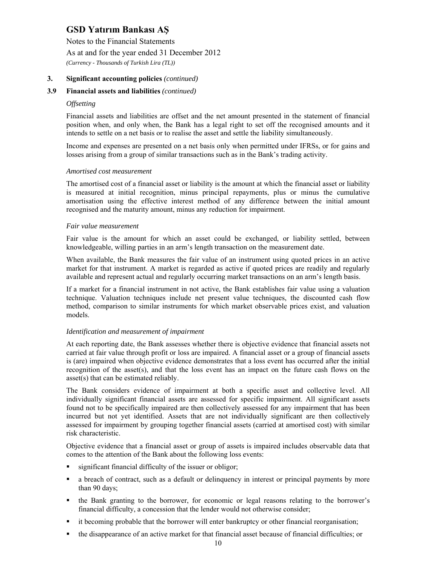Notes to the Financial Statements

As at and for the year ended 31 December 2012

*(Currency - Thousands of Turkish Lira (TL))* 

## **3. Significant accounting policies** *(continued)*

## **3.9 Financial assets and liabilities** *(continued)*

#### *Offsetting*

Financial assets and liabilities are offset and the net amount presented in the statement of financial position when, and only when, the Bank has a legal right to set off the recognised amounts and it intends to settle on a net basis or to realise the asset and settle the liability simultaneously.

Income and expenses are presented on a net basis only when permitted under IFRSs, or for gains and losses arising from a group of similar transactions such as in the Bank's trading activity.

#### *Amortised cost measurement*

The amortised cost of a financial asset or liability is the amount at which the financial asset or liability is measured at initial recognition, minus principal repayments, plus or minus the cumulative amortisation using the effective interest method of any difference between the initial amount recognised and the maturity amount, minus any reduction for impairment.

#### *Fair value measurement*

Fair value is the amount for which an asset could be exchanged, or liability settled, between knowledgeable, willing parties in an arm's length transaction on the measurement date.

When available, the Bank measures the fair value of an instrument using quoted prices in an active market for that instrument. A market is regarded as active if quoted prices are readily and regularly available and represent actual and regularly occurring market transactions on an arm's length basis.

If a market for a financial instrument in not active, the Bank establishes fair value using a valuation technique. Valuation techniques include net present value techniques, the discounted cash flow method, comparison to similar instruments for which market observable prices exist, and valuation models.

#### *Identification and measurement of impairment*

At each reporting date, the Bank assesses whether there is objective evidence that financial assets not carried at fair value through profit or loss are impaired. A financial asset or a group of financial assets is (are) impaired when objective evidence demonstrates that a loss event has occurred after the initial recognition of the asset(s), and that the loss event has an impact on the future cash flows on the asset(s) that can be estimated reliably.

The Bank considers evidence of impairment at both a specific asset and collective level. All individually significant financial assets are assessed for specific impairment. All significant assets found not to be specifically impaired are then collectively assessed for any impairment that has been incurred but not yet identified. Assets that are not individually significant are then collectively assessed for impairment by grouping together financial assets (carried at amortised cost) with similar risk characteristic.

Objective evidence that a financial asset or group of assets is impaired includes observable data that comes to the attention of the Bank about the following loss events:

- significant financial difficulty of the issuer or obligor;
- a breach of contract, such as a default or delinquency in interest or principal payments by more than 90 days;
- the Bank granting to the borrower, for economic or legal reasons relating to the borrower's financial difficulty, a concession that the lender would not otherwise consider;
- it becoming probable that the borrower will enter bankruptcy or other financial reorganisation;
- the disappearance of an active market for that financial asset because of financial difficulties; or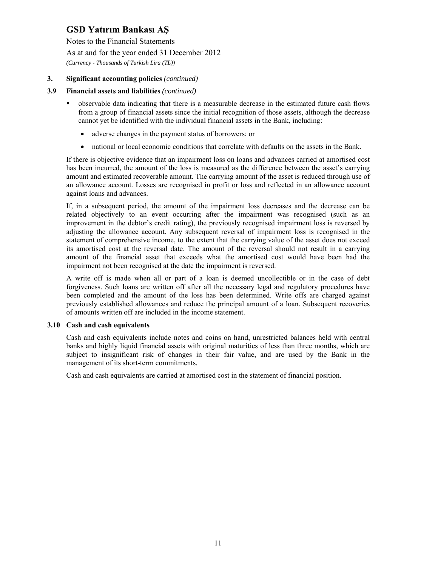Notes to the Financial Statements

As at and for the year ended 31 December 2012

*(Currency - Thousands of Turkish Lira (TL))* 

### **3. Significant accounting policies** *(continued)*

### **3.9 Financial assets and liabilities** *(continued)*

- observable data indicating that there is a measurable decrease in the estimated future cash flows from a group of financial assets since the initial recognition of those assets, although the decrease cannot yet be identified with the individual financial assets in the Bank, including:
	- adverse changes in the payment status of borrowers; or
	- national or local economic conditions that correlate with defaults on the assets in the Bank.

If there is objective evidence that an impairment loss on loans and advances carried at amortised cost has been incurred, the amount of the loss is measured as the difference between the asset's carrying amount and estimated recoverable amount. The carrying amount of the asset is reduced through use of an allowance account. Losses are recognised in profit or loss and reflected in an allowance account against loans and advances.

If, in a subsequent period, the amount of the impairment loss decreases and the decrease can be related objectively to an event occurring after the impairment was recognised (such as an improvement in the debtor's credit rating), the previously recognised impairment loss is reversed by adjusting the allowance account. Any subsequent reversal of impairment loss is recognised in the statement of comprehensive income, to the extent that the carrying value of the asset does not exceed its amortised cost at the reversal date. The amount of the reversal should not result in a carrying amount of the financial asset that exceeds what the amortised cost would have been had the impairment not been recognised at the date the impairment is reversed.

A write off is made when all or part of a loan is deemed uncollectible or in the case of debt forgiveness. Such loans are written off after all the necessary legal and regulatory procedures have been completed and the amount of the loss has been determined. Write offs are charged against previously established allowances and reduce the principal amount of a loan. Subsequent recoveries of amounts written off are included in the income statement.

#### **3.10 Cash and cash equivalents**

Cash and cash equivalents include notes and coins on hand, unrestricted balances held with central banks and highly liquid financial assets with original maturities of less than three months, which are subject to insignificant risk of changes in their fair value, and are used by the Bank in the management of its short-term commitments.

Cash and cash equivalents are carried at amortised cost in the statement of financial position.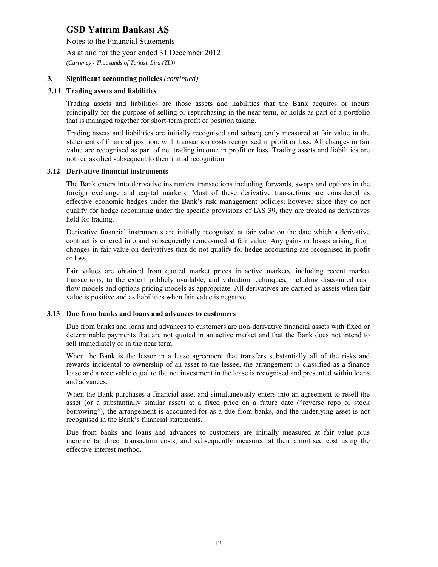Notes to the Financial Statements

As at and for the year ended 31 December 2012

*(Currency - Thousands of Turkish Lira (TL))* 

### **3. Significant accounting policies** *(continued)*

#### **3.11 Trading assets and liabilities**

Trading assets and liabilities are those assets and liabilities that the Bank acquires or incurs principally for the purpose of selling or repurchasing in the near term, or holds as part of a portfolio that is managed together for short-term profit or position taking.

Trading assets and liabilities are initially recognised and subsequently measured at fair value in the statement of financial position, with transaction costs recognised in profit or loss. All changes in fair value are recognised as part of net trading income in profit or loss. Trading assets and liabilities are not reclassified subsequent to their initial recognition.

#### **3.12 Derivative financial instruments**

The Bank enters into derivative instrument transactions including forwards, swaps and options in the foreign exchange and capital markets. Most of these derivative transactions are considered as effective economic hedges under the Bank's risk management policies; however since they do not qualify for hedge accounting under the specific provisions of IAS 39, they are treated as derivatives held for trading.

Derivative financial instruments are initially recognised at fair value on the date which a derivative contract is entered into and subsequently remeasured at fair value. Any gains or losses arising from changes in fair value on derivatives that do not qualify for hedge accounting are recognised in profit or loss.

Fair values are obtained from quoted market prices in active markets, including recent market transactions, to the extent publicly available, and valuation techniques, including discounted cash flow models and options pricing models as appropriate. All derivatives are carried as assets when fair value is positive and as liabilities when fair value is negative.

#### **3.13 Due from banks and loans and advances to customers**

Due from banks and loans and advances to customers are non-derivative financial assets with fixed or determinable payments that are not quoted in an active market and that the Bank does not intend to sell immediately or in the near term.

When the Bank is the lessor in a lease agreement that transfers substantially all of the risks and rewards incidental to ownership of an asset to the lessee, the arrangement is classified as a finance lease and a receivable equal to the net investment in the lease is recognised and presented within loans and advances.

When the Bank purchases a financial asset and simultaneously enters into an agreement to resell the asset (or a substantially similar asset) at a fixed price on a future date ("reverse repo or stock borrowing"), the arrangement is accounted for as a due from banks, and the underlying asset is not recognised in the Bank's financial statements.

Due from banks and loans and advances to customers are initially measured at fair value plus incremental direct transaction costs, and subsequently measured at their amortised cost using the effective interest method.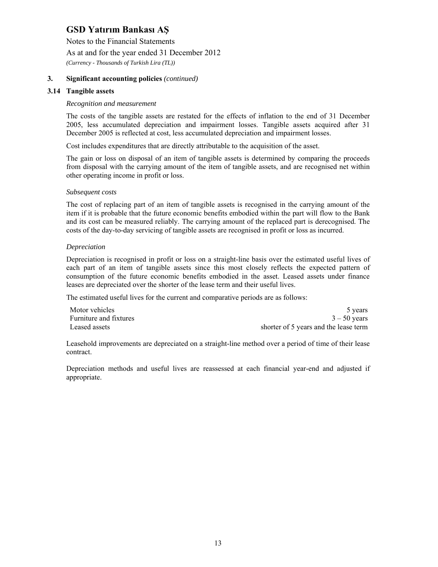Notes to the Financial Statements

As at and for the year ended 31 December 2012

*(Currency - Thousands of Turkish Lira (TL))* 

## **3. Significant accounting policies** *(continued)*

#### **3.14 Tangible assets**

#### *Recognition and measurement*

The costs of the tangible assets are restated for the effects of inflation to the end of 31 December 2005, less accumulated depreciation and impairment losses. Tangible assets acquired after 31 December 2005 is reflected at cost, less accumulated depreciation and impairment losses.

Cost includes expenditures that are directly attributable to the acquisition of the asset.

The gain or loss on disposal of an item of tangible assets is determined by comparing the proceeds from disposal with the carrying amount of the item of tangible assets, and are recognised net within other operating income in profit or loss.

#### *Subsequent costs*

The cost of replacing part of an item of tangible assets is recognised in the carrying amount of the item if it is probable that the future economic benefits embodied within the part will flow to the Bank and its cost can be measured reliably. The carrying amount of the replaced part is derecognised. The costs of the day-to-day servicing of tangible assets are recognised in profit or loss as incurred.

#### *Depreciation*

Depreciation is recognised in profit or loss on a straight-line basis over the estimated useful lives of each part of an item of tangible assets since this most closely reflects the expected pattern of consumption of the future economic benefits embodied in the asset. Leased assets under finance leases are depreciated over the shorter of the lease term and their useful lives.

The estimated useful lives for the current and comparative periods are as follows:

| Motor vehicles         | 5 years                               |
|------------------------|---------------------------------------|
| Furniture and fixtures | $3 - 50$ years                        |
| Leased assets          | shorter of 5 years and the lease term |

Leasehold improvements are depreciated on a straight-line method over a period of time of their lease contract.

Depreciation methods and useful lives are reassessed at each financial year-end and adjusted if appropriate.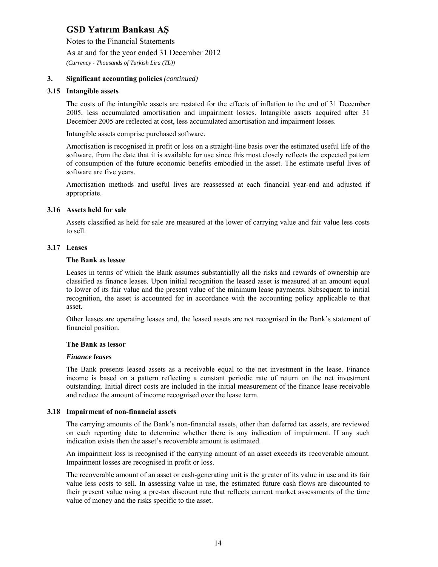Notes to the Financial Statements

As at and for the year ended 31 December 2012

*(Currency - Thousands of Turkish Lira (TL))* 

### **3. Significant accounting policies** *(continued)*

#### **3.15 Intangible assets**

The costs of the intangible assets are restated for the effects of inflation to the end of 31 December 2005, less accumulated amortisation and impairment losses. Intangible assets acquired after 31 December 2005 are reflected at cost, less accumulated amortisation and impairment losses.

Intangible assets comprise purchased software.

Amortisation is recognised in profit or loss on a straight-line basis over the estimated useful life of the software, from the date that it is available for use since this most closely reflects the expected pattern of consumption of the future economic benefits embodied in the asset. The estimate useful lives of software are five years.

Amortisation methods and useful lives are reassessed at each financial year-end and adjusted if appropriate.

#### **3.16 Assets held for sale**

Assets classified as held for sale are measured at the lower of carrying value and fair value less costs to sell.

#### **3.17 Leases**

#### **The Bank as lessee**

Leases in terms of which the Bank assumes substantially all the risks and rewards of ownership are classified as finance leases. Upon initial recognition the leased asset is measured at an amount equal to lower of its fair value and the present value of the minimum lease payments. Subsequent to initial recognition, the asset is accounted for in accordance with the accounting policy applicable to that asset.

Other leases are operating leases and, the leased assets are not recognised in the Bank's statement of financial position.

#### **The Bank as lessor**

#### *Finance leases*

The Bank presents leased assets as a receivable equal to the net investment in the lease. Finance income is based on a pattern reflecting a constant periodic rate of return on the net investment outstanding. Initial direct costs are included in the initial measurement of the finance lease receivable and reduce the amount of income recognised over the lease term.

#### **3.18 Impairment of non-financial assets**

The carrying amounts of the Bank's non-financial assets, other than deferred tax assets, are reviewed on each reporting date to determine whether there is any indication of impairment. If any such indication exists then the asset's recoverable amount is estimated.

An impairment loss is recognised if the carrying amount of an asset exceeds its recoverable amount. Impairment losses are recognised in profit or loss.

The recoverable amount of an asset or cash-generating unit is the greater of its value in use and its fair value less costs to sell. In assessing value in use, the estimated future cash flows are discounted to their present value using a pre-tax discount rate that reflects current market assessments of the time value of money and the risks specific to the asset.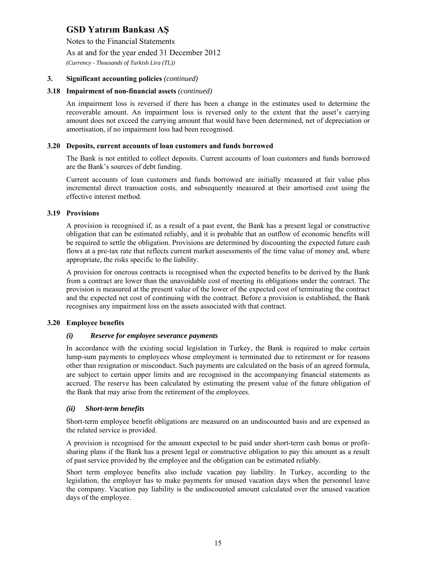Notes to the Financial Statements

As at and for the year ended 31 December 2012

*(Currency - Thousands of Turkish Lira (TL))* 

### **3. Significant accounting policies** *(continued)*

#### **3.18 Impairment of non-financial assets** *(continued)*

An impairment loss is reversed if there has been a change in the estimates used to determine the recoverable amount. An impairment loss is reversed only to the extent that the asset's carrying amount does not exceed the carrying amount that would have been determined, net of depreciation or amortisation, if no impairment loss had been recognised.

#### **3.20 Deposits, current accounts of loan customers and funds borrowed**

The Bank is not entitled to collect deposits. Current accounts of loan customers and funds borrowed are the Bank's sources of debt funding.

Current accounts of loan customers and funds borrowed are initially measured at fair value plus incremental direct transaction costs, and subsequently measured at their amortised cost using the effective interest method.

#### **3.19 Provisions**

A provision is recognised if, as a result of a past event, the Bank has a present legal or constructive obligation that can be estimated reliably, and it is probable that an outflow of economic benefits will be required to settle the obligation. Provisions are determined by discounting the expected future cash flows at a pre-tax rate that reflects current market assessments of the time value of money and, where appropriate, the risks specific to the liability.

A provision for onerous contracts is recognised when the expected benefits to be derived by the Bank from a contract are lower than the unavoidable cost of meeting its obligations under the contract. The provision is measured at the present value of the lower of the expected cost of terminating the contract and the expected net cost of continuing with the contract. Before a provision is established, the Bank recognises any impairment loss on the assets associated with that contract.

### **3.20 Employee benefits**

#### *(i) Reserve for employee severance payments*

In accordance with the existing social legislation in Turkey, the Bank is required to make certain lump-sum payments to employees whose employment is terminated due to retirement or for reasons other than resignation or misconduct. Such payments are calculated on the basis of an agreed formula, are subject to certain upper limits and are recognised in the accompanying financial statements as accrued. The reserve has been calculated by estimating the present value of the future obligation of the Bank that may arise from the retirement of the employees.

#### *(ii) Short-term benefits*

Short-term employee benefit obligations are measured on an undiscounted basis and are expensed as the related service is provided.

A provision is recognised for the amount expected to be paid under short-term cash bonus or profitsharing plans if the Bank has a present legal or constructive obligation to pay this amount as a result of past service provided by the employee and the obligation can be estimated reliably.

Short term employee benefits also include vacation pay liability. In Turkey, according to the legislation, the employer has to make payments for unused vacation days when the personnel leave the company. Vacation pay liability is the undiscounted amount calculated over the unused vacation days of the employee.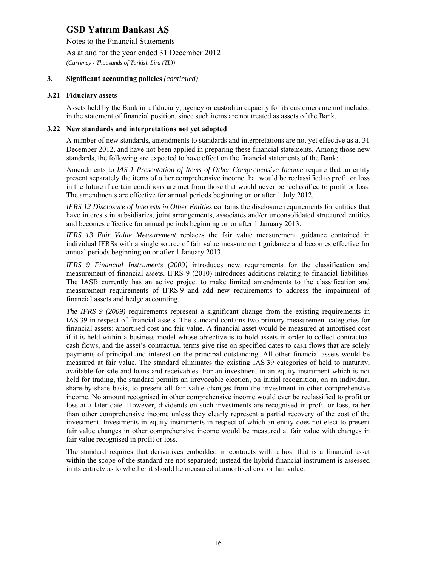Notes to the Financial Statements

As at and for the year ended 31 December 2012

*(Currency - Thousands of Turkish Lira (TL))* 

### **3. Significant accounting policies** *(continued)*

#### **3.21 Fiduciary assets**

Assets held by the Bank in a fiduciary, agency or custodian capacity for its customers are not included in the statement of financial position, since such items are not treated as assets of the Bank.

#### **3.22 New standards and interpretations not yet adopted**

A number of new standards, amendments to standards and interpretations are not yet effective as at 31 December 2012, and have not been applied in preparing these financial statements. Among those new standards, the following are expected to have effect on the financial statements of the Bank:

Amendments to *IAS 1 Presentation of Items of Other Comprehensive Income* require that an entity present separately the items of other comprehensive income that would be reclassified to profit or loss in the future if certain conditions are met from those that would never be reclassified to profit or loss. The amendments are effective for annual periods beginning on or after 1 July 2012.

*IFRS 12 Disclosure of Interests in Other Entities* contains the disclosure requirements for entities that have interests in subsidiaries, joint arrangements, associates and/or unconsolidated structured entities and becomes effective for annual periods beginning on or after 1 January 2013.

*IFRS 13 Fair Value Measurement* replaces the fair value measurement guidance contained in individual IFRSs with a single source of fair value measurement guidance and becomes effective for annual periods beginning on or after 1 January 2013.

*IFRS 9 Financial Instruments (2009)* introduces new requirements for the classification and measurement of financial assets. IFRS 9 (2010) introduces additions relating to financial liabilities. The IASB currently has an active project to make limited amendments to the classification and measurement requirements of IFRS 9 and add new requirements to address the impairment of financial assets and hedge accounting.

*The IFRS 9 (2009)* requirements represent a significant change from the existing requirements in IAS 39 in respect of financial assets. The standard contains two primary measurement categories for financial assets: amortised cost and fair value. A financial asset would be measured at amortised cost if it is held within a business model whose objective is to hold assets in order to collect contractual cash flows, and the asset's contractual terms give rise on specified dates to cash flows that are solely payments of principal and interest on the principal outstanding. All other financial assets would be measured at fair value. The standard eliminates the existing IAS 39 categories of held to maturity, available-for-sale and loans and receivables. For an investment in an equity instrument which is not held for trading, the standard permits an irrevocable election, on initial recognition, on an individual share-by-share basis, to present all fair value changes from the investment in other comprehensive income. No amount recognised in other comprehensive income would ever be reclassified to profit or loss at a later date. However, dividends on such investments are recognised in profit or loss, rather than other comprehensive income unless they clearly represent a partial recovery of the cost of the investment. Investments in equity instruments in respect of which an entity does not elect to present fair value changes in other comprehensive income would be measured at fair value with changes in fair value recognised in profit or loss.

The standard requires that derivatives embedded in contracts with a host that is a financial asset within the scope of the standard are not separated; instead the hybrid financial instrument is assessed in its entirety as to whether it should be measured at amortised cost or fair value.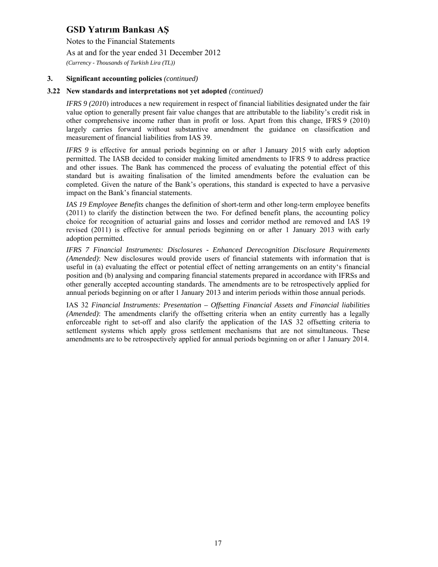Notes to the Financial Statements

As at and for the year ended 31 December 2012

*(Currency - Thousands of Turkish Lira (TL))* 

### **3. Significant accounting policies** *(continued)*

#### **3.22 New standards and interpretations not yet adopted** *(continued)*

*IFRS 9 (2010)* introduces a new requirement in respect of financial liabilities designated under the fair value option to generally present fair value changes that are attributable to the liability's credit risk in other comprehensive income rather than in profit or loss. Apart from this change, IFRS 9 (2010) largely carries forward without substantive amendment the guidance on classification and measurement of financial liabilities from IAS 39.

*IFRS 9* is effective for annual periods beginning on or after 1 January 2015 with early adoption permitted. The IASB decided to consider making limited amendments to IFRS 9 to address practice and other issues. The Bank has commenced the process of evaluating the potential effect of this standard but is awaiting finalisation of the limited amendments before the evaluation can be completed. Given the nature of the Bank's operations, this standard is expected to have a pervasive impact on the Bank's financial statements.

*IAS 19 Employee Benefits* changes the definition of short-term and other long-term employee benefits (2011) to clarify the distinction between the two. For defined benefit plans, the accounting policy choice for recognition of actuarial gains and losses and corridor method are removed and IAS 19 revised (2011) is effective for annual periods beginning on or after 1 January 2013 with early adoption permitted.

*IFRS 7 Financial Instruments: Disclosures - Enhanced Derecognition Disclosure Requirements (Amended)*: New disclosures would provide users of financial statements with information that is useful in (a) evaluating the effect or potential effect of netting arrangements on an entity's financial position and (b) analysing and comparing financial statements prepared in accordance with IFRSs and other generally accepted accounting standards. The amendments are to be retrospectively applied for annual periods beginning on or after 1 January 2013 and interim periods within those annual periods.

IAS 32 *Financial Instruments: Presentation – Offsetting Financial Assets and Financial liabilities (Amended)*: The amendments clarify the offsetting criteria when an entity currently has a legally enforceable right to set-off and also clarify the application of the IAS 32 offsetting criteria to settlement systems which apply gross settlement mechanisms that are not simultaneous. These amendments are to be retrospectively applied for annual periods beginning on or after 1 January 2014.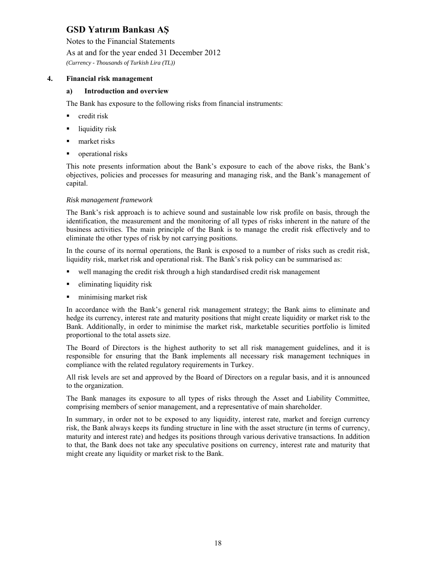Notes to the Financial Statements

### As at and for the year ended 31 December 2012

*(Currency - Thousands of Turkish Lira (TL))* 

## **4. Financial risk management**

### **a) Introduction and overview**

The Bank has exposure to the following risks from financial instruments:

- **•** credit risk
- $\blacksquare$  liquidity risk
- **narket** risks
- **•** operational risks

This note presents information about the Bank's exposure to each of the above risks, the Bank's objectives, policies and processes for measuring and managing risk, and the Bank's management of capital.

#### *Risk management framework*

The Bank's risk approach is to achieve sound and sustainable low risk profile on basis, through the identification, the measurement and the monitoring of all types of risks inherent in the nature of the business activities. The main principle of the Bank is to manage the credit risk effectively and to eliminate the other types of risk by not carrying positions.

In the course of its normal operations, the Bank is exposed to a number of risks such as credit risk, liquidity risk, market risk and operational risk. The Bank's risk policy can be summarised as:

- well managing the credit risk through a high standardised credit risk management
- eliminating liquidity risk
- minimising market risk

In accordance with the Bank's general risk management strategy; the Bank aims to eliminate and hedge its currency, interest rate and maturity positions that might create liquidity or market risk to the Bank. Additionally, in order to minimise the market risk, marketable securities portfolio is limited proportional to the total assets size.

The Board of Directors is the highest authority to set all risk management guidelines, and it is responsible for ensuring that the Bank implements all necessary risk management techniques in compliance with the related regulatory requirements in Turkey.

All risk levels are set and approved by the Board of Directors on a regular basis, and it is announced to the organization.

The Bank manages its exposure to all types of risks through the Asset and Liability Committee, comprising members of senior management, and a representative of main shareholder.

In summary, in order not to be exposed to any liquidity, interest rate, market and foreign currency risk, the Bank always keeps its funding structure in line with the asset structure (in terms of currency, maturity and interest rate) and hedges its positions through various derivative transactions. In addition to that, the Bank does not take any speculative positions on currency, interest rate and maturity that might create any liquidity or market risk to the Bank.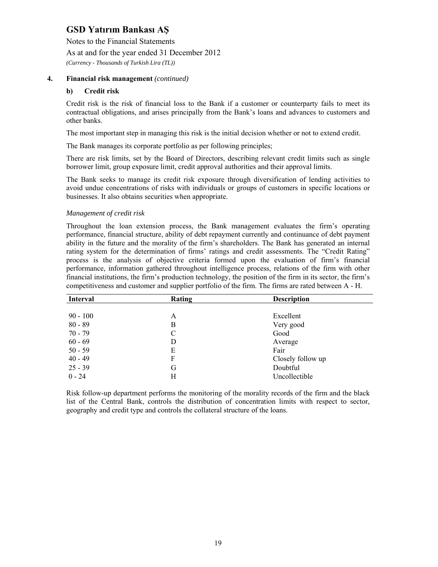Notes to the Financial Statements

As at and for the year ended 31 December 2012

*(Currency - Thousands of Turkish Lira (TL))* 

### **4. Financial risk management** *(continued)*

#### **b) Credit risk**

Credit risk is the risk of financial loss to the Bank if a customer or counterparty fails to meet its contractual obligations, and arises principally from the Bank's loans and advances to customers and other banks.

The most important step in managing this risk is the initial decision whether or not to extend credit.

The Bank manages its corporate portfolio as per following principles;

There are risk limits, set by the Board of Directors, describing relevant credit limits such as single borrower limit, group exposure limit, credit approval authorities and their approval limits.

The Bank seeks to manage its credit risk exposure through diversification of lending activities to avoid undue concentrations of risks with individuals or groups of customers in specific locations or businesses. It also obtains securities when appropriate.

#### *Management of credit risk*

Throughout the loan extension process, the Bank management evaluates the firm's operating performance, financial structure, ability of debt repayment currently and continuance of debt payment ability in the future and the morality of the firm's shareholders. The Bank has generated an internal rating system for the determination of firms' ratings and credit assessments. The "Credit Rating" process is the analysis of objective criteria formed upon the evaluation of firm's financial performance, information gathered throughout intelligence process, relations of the firm with other financial institutions, the firm's production technology, the position of the firm in its sector, the firm's competitiveness and customer and supplier portfolio of the firm. The firms are rated between A - H.

| <b>Interval</b> | Rating | <b>Description</b> |
|-----------------|--------|--------------------|
|                 |        |                    |
| $90 - 100$      | A      | Excellent          |
| $80 - 89$       | В      | Very good          |
| $70 - 79$       | C      | Good               |
| $60 - 69$       | D      | Average            |
| $50 - 59$       | E      | Fair               |
| $40 - 49$       | F      | Closely follow up  |
| $25 - 39$       | G      | Doubtful           |
| $0 - 24$        | Н      | Uncollectible      |

Risk follow-up department performs the monitoring of the morality records of the firm and the black list of the Central Bank, controls the distribution of concentration limits with respect to sector, geography and credit type and controls the collateral structure of the loans.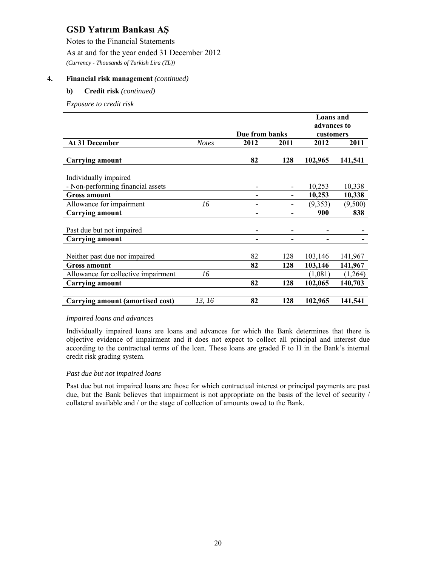Notes to the Financial Statements

As at and for the year ended 31 December 2012

*(Currency - Thousands of Turkish Lira (TL))* 

## **4. Financial risk management** *(continued)*

### **b) Credit risk** *(continued)*

*Exposure to credit risk* 

|                                     |              |                          |      | <b>Loans</b> and |         |
|-------------------------------------|--------------|--------------------------|------|------------------|---------|
|                                     |              |                          |      | advances to      |         |
|                                     |              | Due from banks           |      | customers        |         |
| At 31 December                      | <b>Notes</b> | 2012                     | 2011 | 2012             | 2011    |
|                                     |              |                          |      |                  |         |
| <b>Carrying amount</b>              |              | 82                       | 128  | 102,965          | 141,541 |
|                                     |              |                          |      |                  |         |
| Individually impaired               |              |                          |      |                  |         |
| - Non-performing financial assets   |              |                          |      | 10,253           | 10,338  |
| <b>Gross amount</b>                 |              | $\overline{\phantom{0}}$ |      | 10,253           | 10,338  |
| Allowance for impairment            | 16           |                          |      | (9,353)          | (9,500) |
| <b>Carrying amount</b>              |              |                          |      | 900              | 838     |
|                                     |              |                          |      |                  |         |
| Past due but not impaired           |              |                          |      |                  |         |
| <b>Carrying amount</b>              |              |                          |      |                  |         |
|                                     |              |                          |      |                  |         |
| Neither past due nor impaired       |              | 82                       | 128  | 103,146          | 141,967 |
| <b>Gross amount</b>                 |              | 82                       | 128  | 103,146          | 141,967 |
| Allowance for collective impairment | 16           |                          |      | (1,081)          | (1,264) |
| <b>Carrying amount</b>              |              | 82                       | 128  | 102,065          | 140,703 |
|                                     |              |                          |      |                  |         |
| Carrying amount (amortised cost)    | 13, 16       | 82                       | 128  | 102,965          | 141,541 |

### *Impaired loans and advances*

Individually impaired loans are loans and advances for which the Bank determines that there is objective evidence of impairment and it does not expect to collect all principal and interest due according to the contractual terms of the loan. These loans are graded F to H in the Bank's internal credit risk grading system.

### *Past due but not impaired loans*

Past due but not impaired loans are those for which contractual interest or principal payments are past due, but the Bank believes that impairment is not appropriate on the basis of the level of security / collateral available and / or the stage of collection of amounts owed to the Bank.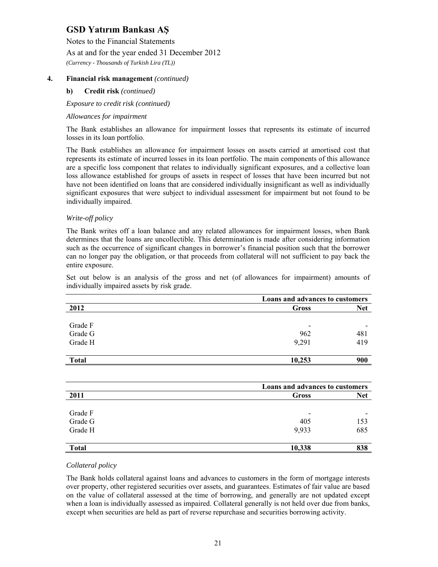Notes to the Financial Statements

As at and for the year ended 31 December 2012

*(Currency - Thousands of Turkish Lira (TL))* 

## **4. Financial risk management** *(continued)*

#### **b) Credit risk** *(continued)*

*Exposure to credit risk (continued)* 

#### *Allowances for impairment*

The Bank establishes an allowance for impairment losses that represents its estimate of incurred losses in its loan portfolio.

The Bank establishes an allowance for impairment losses on assets carried at amortised cost that represents its estimate of incurred losses in its loan portfolio. The main components of this allowance are a specific loss component that relates to individually significant exposures, and a collective loan loss allowance established for groups of assets in respect of losses that have been incurred but not have not been identified on loans that are considered individually insignificant as well as individually significant exposures that were subject to individual assessment for impairment but not found to be individually impaired.

#### *Write-off policy*

The Bank writes off a loan balance and any related allowances for impairment losses, when Bank determines that the loans are uncollectible. This determination is made after considering information such as the occurrence of significant changes in borrower's financial position such that the borrower can no longer pay the obligation, or that proceeds from collateral will not sufficient to pay back the entire exposure.

Set out below is an analysis of the gross and net (of allowances for impairment) amounts of individually impaired assets by risk grade.

|              |                          | Loans and advances to customers |  |  |
|--------------|--------------------------|---------------------------------|--|--|
| 2012         | Gross                    | <b>Net</b>                      |  |  |
|              |                          |                                 |  |  |
| Grade F      | $\overline{\phantom{0}}$ |                                 |  |  |
| Grade G      | 962                      | 481                             |  |  |
| Grade H      | 9,291                    | 419                             |  |  |
|              |                          |                                 |  |  |
| <b>Total</b> | 10,253                   | 900                             |  |  |

|              |                          | Loans and advances to customers |  |  |
|--------------|--------------------------|---------------------------------|--|--|
| 2011         | Gross                    | <b>Net</b>                      |  |  |
|              |                          |                                 |  |  |
| Grade F      | $\overline{\phantom{a}}$ |                                 |  |  |
| Grade G      | 405                      | 153                             |  |  |
| Grade H      | 9,933                    | 685                             |  |  |
| <b>Total</b> | 10,338                   | 838                             |  |  |

### *Collateral policy*

The Bank holds collateral against loans and advances to customers in the form of mortgage interests over property, other registered securities over assets, and guarantees. Estimates of fair value are based on the value of collateral assessed at the time of borrowing, and generally are not updated except when a loan is individually assessed as impaired. Collateral generally is not held over due from banks, except when securities are held as part of reverse repurchase and securities borrowing activity.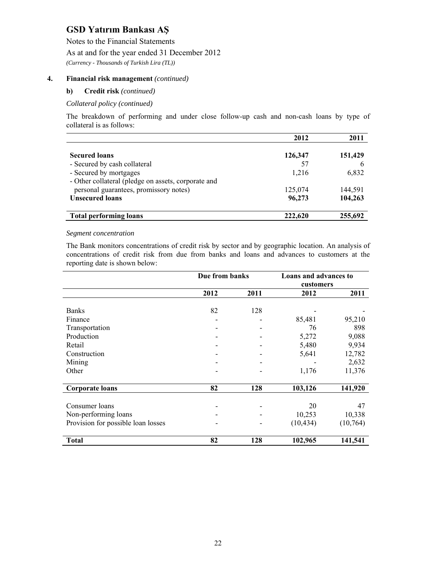Notes to the Financial Statements

As at and for the year ended 31 December 2012

*(Currency - Thousands of Turkish Lira (TL))* 

## **4. Financial risk management** *(continued)*

#### **b) Credit risk** *(continued)*

#### *Collateral policy (continued)*

The breakdown of performing and under close follow-up cash and non-cash loans by type of collateral is as follows:

|                                                     | 2012    | 2011    |
|-----------------------------------------------------|---------|---------|
|                                                     |         |         |
| <b>Secured loans</b>                                | 126,347 | 151,429 |
| - Secured by cash collateral                        | 57      |         |
| - Secured by mortgages                              | 1.216   | 6,832   |
| - Other collateral (pledge on assets, corporate and |         |         |
| personal guarantees, promissory notes)              | 125,074 | 144,591 |
| <b>Unsecured loans</b>                              | 96,273  | 104,263 |
| <b>Total performing loans</b>                       | 222,620 | 255,692 |

#### *Segment concentration*

The Bank monitors concentrations of credit risk by sector and by geographic location. An analysis of concentrations of credit risk from due from banks and loans and advances to customers at the reporting date is shown below:

|                                    | Due from banks |      | <b>Loans and advances to</b><br>customers |           |
|------------------------------------|----------------|------|-------------------------------------------|-----------|
|                                    | 2012           | 2011 | 2012                                      | 2011      |
|                                    |                |      |                                           |           |
| <b>Banks</b>                       | 82             | 128  |                                           |           |
| Finance                            |                |      | 85,481                                    | 95,210    |
| Transportation                     |                |      | 76                                        | 898       |
| Production                         |                |      | 5,272                                     | 9,088     |
| Retail                             |                |      | 5,480                                     | 9,934     |
| Construction                       |                |      | 5,641                                     | 12,782    |
| Mining                             |                |      |                                           | 2,632     |
| Other                              |                |      | 1,176                                     | 11,376    |
|                                    |                |      |                                           |           |
| <b>Corporate loans</b>             | 82             | 128  | 103,126                                   | 141,920   |
|                                    |                |      |                                           |           |
| Consumer loans                     |                |      | 20                                        | 47        |
| Non-performing loans               |                |      | 10,253                                    | 10,338    |
| Provision for possible loan losses |                |      | (10, 434)                                 | (10, 764) |
|                                    |                |      |                                           |           |
| Total                              | 82             | 128  | 102,965                                   | 141,541   |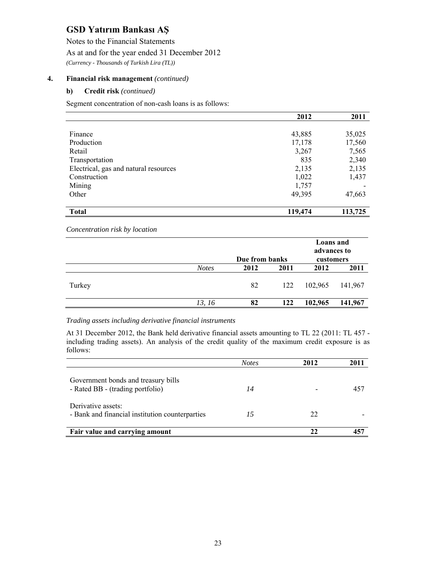Notes to the Financial Statements

As at and for the year ended 31 December 2012

*(Currency - Thousands of Turkish Lira (TL))* 

## **4. Financial risk management** *(continued)*

### **b) Credit risk** *(continued)*

Segment concentration of non-cash loans is as follows:

|                                       | 2012    | 2011    |
|---------------------------------------|---------|---------|
|                                       |         |         |
| Finance                               | 43,885  | 35,025  |
| Production                            | 17,178  | 17,560  |
| Retail                                | 3,267   | 7,565   |
| Transportation                        | 835     | 2,340   |
| Electrical, gas and natural resources | 2,135   | 2,135   |
| Construction                          | 1,022   | 1,437   |
| Mining                                | 1,757   |         |
| Other                                 | 49,395  | 47,663  |
|                                       |         |         |
| <b>Total</b>                          | 119,474 | 113,725 |

*Concentration risk by location*

|        |              | Due from banks |      | Loans and<br>advances to<br>customers |         |
|--------|--------------|----------------|------|---------------------------------------|---------|
|        | <b>Notes</b> | 2012           | 2011 | 2012                                  | 2011    |
| Turkey |              | 82<br>122      |      | 102,965                               | 141,967 |
|        | 13, 16       | 82             | 122  | 102,965                               | 141,967 |

### *Trading assets including derivative financial instruments*

At 31 December 2012, the Bank held derivative financial assets amounting to TL 22 (2011: TL 457 including trading assets). An analysis of the credit quality of the maximum credit exposure is as follows:

|                                                                         | <b>Notes</b> | 2012 |     |
|-------------------------------------------------------------------------|--------------|------|-----|
| Government bonds and treasury bills<br>- Rated BB - (trading portfolio) | 14           |      | 457 |
| Derivative assets:<br>- Bank and financial institution counterparties   | 15           | 22   |     |
| Fair value and carrying amount                                          |              | 22   |     |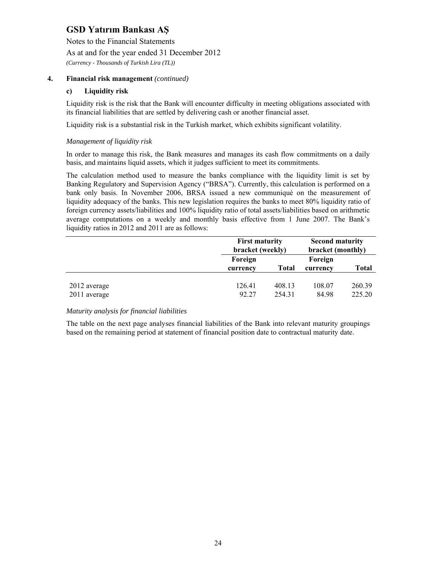Notes to the Financial Statements

As at and for the year ended 31 December 2012

*(Currency - Thousands of Turkish Lira (TL))* 

## **4. Financial risk management** *(continued)*

#### **c) Liquidity risk**

Liquidity risk is the risk that the Bank will encounter difficulty in meeting obligations associated with its financial liabilities that are settled by delivering cash or another financial asset.

Liquidity risk is a substantial risk in the Turkish market, which exhibits significant volatility.

#### *Management of liquidity risk*

In order to manage this risk, the Bank measures and manages its cash flow commitments on a daily basis, and maintains liquid assets, which it judges sufficient to meet its commitments.

The calculation method used to measure the banks compliance with the liquidity limit is set by Banking Regulatory and Supervision Agency ("BRSA"). Currently, this calculation is performed on a bank only basis. In November 2006, BRSA issued a new communiqué on the measurement of liquidity adequacy of the banks. This new legislation requires the banks to meet 80% liquidity ratio of foreign currency assets/liabilities and 100% liquidity ratio of total assets/liabilities based on arithmetic average computations on a weekly and monthly basis effective from 1 June 2007. The Bank's liquidity ratios in 2012 and 2011 are as follows:

|                              | <b>First maturity</b><br>bracket (weekly) |                  | <b>Second maturity</b><br>bracket (monthly) |                  |
|------------------------------|-------------------------------------------|------------------|---------------------------------------------|------------------|
|                              | Foreign                                   |                  | Foreign                                     |                  |
|                              | currency                                  | <b>Total</b>     | currency                                    | <b>Total</b>     |
| 2012 average<br>2011 average | 126.41<br>92.27                           | 408.13<br>254.31 | 108.07<br>84.98                             | 260.39<br>225.20 |

#### *Maturity analysis for financial liabilities*

The table on the next page analyses financial liabilities of the Bank into relevant maturity groupings based on the remaining period at statement of financial position date to contractual maturity date.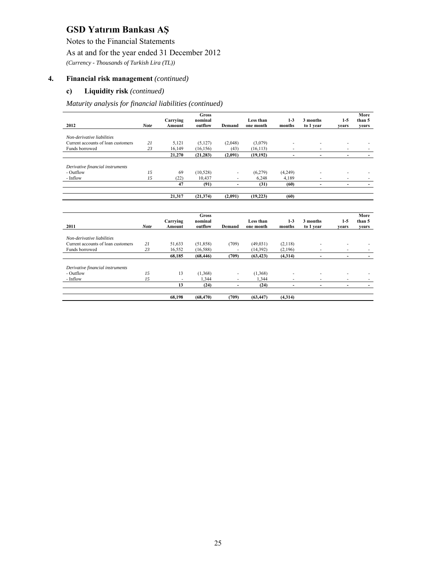Notes to the Financial Statements

## As at and for the year ended 31 December 2012

*(Currency - Thousands of Turkish Lira (TL))* 

### **4. Financial risk management** *(continued)*

#### **c) Liquidity risk** *(continued)*

*Maturity analysis for financial liabilities (continued)* 

|                                    |             | Carrying | <b>Gross</b><br>nominal |                          | Less than | $1-3$          | 3 months  | $1-5$                    | More<br>than 5 |
|------------------------------------|-------------|----------|-------------------------|--------------------------|-----------|----------------|-----------|--------------------------|----------------|
| 2012                               | <b>Note</b> | Amount   | outflow                 | Demand                   | one month | months         | to 1 year | vears                    | years          |
|                                    |             |          |                         |                          |           |                |           |                          |                |
| Non-derivative liabilities         |             |          |                         |                          |           |                |           |                          |                |
| Current accounts of loan customers | 21          | 5,121    | (5,127)                 | (2,048)                  | (3,079)   |                |           |                          |                |
| Funds borrowed                     | 23          | 16,149   | (16, 156)               | (43)                     | (16, 113) |                |           |                          |                |
|                                    |             | 21,270   | (21, 283)               | (2,091)                  | (19, 192) | $\blacksquare$ | ٠         | $\blacksquare$           |                |
|                                    |             |          |                         |                          |           |                |           |                          |                |
| Derivative financial instruments   |             |          |                         |                          |           |                |           |                          |                |
| - Outflow                          | 15          | 69       | (10, 528)               |                          | (6,279)   | (4,249)        |           |                          |                |
| - Inflow                           | 15          | (22)     | 10,437                  |                          | 6,248     | 4,189          |           |                          |                |
|                                    |             | 47       | (91)                    | $\overline{\phantom{0}}$ | (31)      | (60)           | ۰         | $\overline{\phantom{a}}$ |                |
|                                    |             |          |                         |                          |           |                |           |                          |                |
|                                    |             | 21,317   | (21, 374)               | (2,091)                  | (19, 223) | (60)           |           |                          |                |
|                                    |             |          |                         |                          |           |                |           |                          |                |
|                                    |             |          | <b>Gross</b>            |                          |           |                |           |                          | More           |
|                                    |             | Carrying | nominal                 |                          | Less than | $1 - 3$        | 3 months  | $1-5$                    | than 5         |
| 2011                               | <b>Note</b> | Amount   | outflow                 | Demand                   | one month | months         | to 1 year | vears                    | vears          |
| Non-derivative liabilities         |             |          |                         |                          |           |                |           |                          |                |
| Current accounts of loan customers | 21          |          |                         |                          |           |                |           |                          |                |
|                                    |             | 51,633   | (51, 858)               | (709)                    | (49, 031) | (2,118)        |           |                          |                |
| Funds borrowed                     | 23          | 16,552   | (16, 588)               |                          | (14, 392) | (2,196)        | ٠         |                          |                |
|                                    |             | 68,185   | (68, 446)               | (709)                    | (63, 423) | (4,314)        | ٠         | $\overline{\phantom{a}}$ | ٠              |
|                                    |             |          |                         |                          |           |                |           |                          |                |
| Derivative financial instruments   |             |          |                         |                          |           |                |           |                          |                |

| · Inflow |        | 1.344     | $\equiv$ | 1.344   |         |  |   |
|----------|--------|-----------|----------|---------|---------|--|---|
|          | -      | (24)      |          | (24)    |         |  | - |
|          |        |           |          |         |         |  |   |
|          | 68,198 | (68, 470) | (709)    | ,63,447 | (4.314) |  |   |
|          |        |           |          |         |         |  |   |

- Outflow *15* 13 (1,368) - (1,368) - - - - -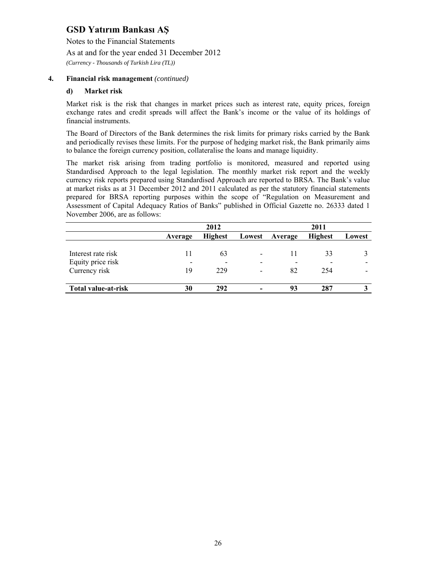Notes to the Financial Statements

As at and for the year ended 31 December 2012

*(Currency - Thousands of Turkish Lira (TL))* 

## **4. Financial risk management** *(continued)*

#### **d) Market risk**

Market risk is the risk that changes in market prices such as interest rate, equity prices, foreign exchange rates and credit spreads will affect the Bank's income or the value of its holdings of financial instruments.

The Board of Directors of the Bank determines the risk limits for primary risks carried by the Bank and periodically revises these limits. For the purpose of hedging market risk, the Bank primarily aims to balance the foreign currency position, collateralise the loans and manage liquidity.

The market risk arising from trading portfolio is monitored, measured and reported using Standardised Approach to the legal legislation. The monthly market risk report and the weekly currency risk reports prepared using Standardised Approach are reported to BRSA. The Bank's value at market risks as at 31 December 2012 and 2011 calculated as per the statutory financial statements prepared for BRSA reporting purposes within the scope of "Regulation on Measurement and Assessment of Capital Adequacy Ratios of Banks" published in Official Gazette no. 26333 dated 1 November 2006, are as follows:

|                            |         | 2011                     |                          |                          |                |        |
|----------------------------|---------|--------------------------|--------------------------|--------------------------|----------------|--------|
|                            | Average | <b>Highest</b>           | Lowest                   | Average                  | <b>Highest</b> | Lowest |
|                            |         |                          |                          |                          |                |        |
| Interest rate risk         |         | 63                       |                          | 11                       | 33             |        |
| Equity price risk          | -       | $\overline{\phantom{0}}$ |                          | $\overline{\phantom{a}}$ |                |        |
| Currency risk              | 19      | 229                      | $\overline{\phantom{0}}$ | 82                       | 254            |        |
|                            |         |                          |                          |                          |                |        |
| <b>Total value-at-risk</b> | 30      | 292                      |                          | 93                       | 287            |        |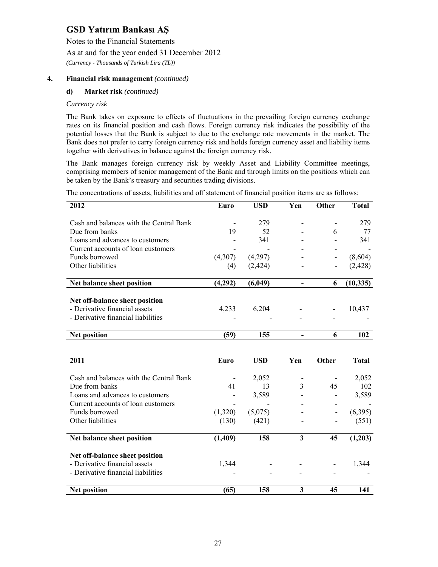Notes to the Financial Statements

As at and for the year ended 31 December 2012

*(Currency - Thousands of Turkish Lira (TL))* 

## **4. Financial risk management** *(continued)*

#### **d) Market risk** *(continued)*

#### *Currency risk*

The Bank takes on exposure to effects of fluctuations in the prevailing foreign currency exchange rates on its financial position and cash flows. Foreign currency risk indicates the possibility of the potential losses that the Bank is subject to due to the exchange rate movements in the market. The Bank does not prefer to carry foreign currency risk and holds foreign currency asset and liability items together with derivatives in balance against the foreign currency risk.

The Bank manages foreign currency risk by weekly Asset and Liability Committee meetings, comprising members of senior management of the Bank and through limits on the positions which can be taken by the Bank's treasury and securities trading divisions.

The concentrations of assets, liabilities and off statement of financial position items are as follows:

| 2012                                    | Euro        | <b>USD</b> | Yen                      | Other        | <b>Total</b> |
|-----------------------------------------|-------------|------------|--------------------------|--------------|--------------|
|                                         |             |            |                          |              |              |
| Cash and balances with the Central Bank |             | 279        |                          |              | 279          |
| Due from banks                          | 19          | 52         |                          | 6            | 77           |
| Loans and advances to customers         |             | 341        |                          |              | 341          |
| Current accounts of loan customers      |             |            |                          |              |              |
| Funds borrowed                          | (4,307)     | (4,297)    |                          |              | (8,604)      |
| Other liabilities                       | (4)         | (2, 424)   |                          |              | (2, 428)     |
| Net balance sheet position              | (4,292)     | (6,049)    | $\overline{\phantom{a}}$ | 6            | (10, 335)    |
|                                         |             |            |                          |              |              |
| Net off-balance sheet position          |             |            |                          |              |              |
| - Derivative financial assets           | 4,233       | 6,204      |                          |              | 10,437       |
| - Derivative financial liabilities      |             |            |                          |              |              |
| <b>Net position</b>                     | (59)        | 155        | $\overline{\phantom{a}}$ | 6            | 102          |
|                                         |             |            |                          |              |              |
|                                         |             |            |                          |              |              |
| 2011                                    | <b>Euro</b> | <b>USD</b> | Yen                      | <b>Other</b> | <b>Total</b> |
|                                         |             |            |                          |              |              |
| Cash and balances with the Central Bank |             | 2,052      |                          |              | 2,052        |
| Due from banks                          | 41          | 13         | 3                        | 45           | 102          |
| Loans and advances to customers         |             | 3,589      |                          |              | 3,589        |
| Current accounts of loan customers      |             |            |                          |              |              |
| Funds borrowed                          | (1,320)     | (5,075)    |                          |              | (6,395)      |
| Other liabilities                       | (130)       | (421)      |                          |              | (551)        |
| Net balance sheet position              | (1,409)     | 158        | 3                        | 45           | (1,203)      |
|                                         |             |            |                          |              |              |
| Net off-balance sheet position          |             |            |                          |              |              |
| - Derivative financial assets           | 1,344       |            |                          |              | 1,344        |
| - Derivative financial liabilities      |             |            |                          |              |              |
| <b>Net position</b>                     | (65)        | 158        | 3                        | 45           | 141          |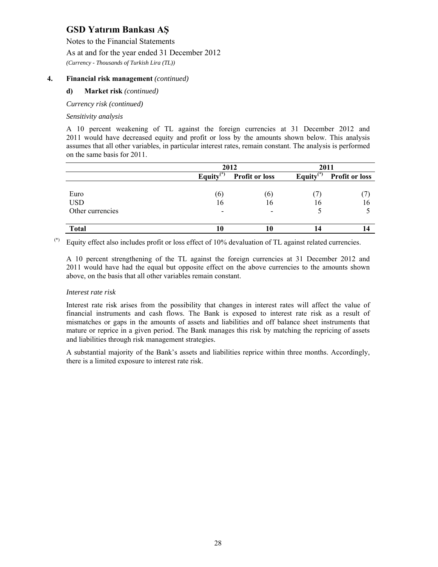Notes to the Financial Statements

As at and for the year ended 31 December 2012

*(Currency - Thousands of Turkish Lira (TL))* 

## **4. Financial risk management** *(continued)*

#### **d) Market risk** *(continued)*

*Currency risk (continued)* 

#### *Sensitivity analysis*

A 10 percent weakening of TL against the foreign currencies at 31 December 2012 and 2011 would have decreased equity and profit or loss by the amounts shown below. This analysis assumes that all other variables, in particular interest rates, remain constant. The analysis is performed on the same basis for 2011.

|                  |              | 2012                  | 2011          |                       |  |
|------------------|--------------|-----------------------|---------------|-----------------------|--|
|                  | Equity $(*)$ | <b>Profit or loss</b> | Equity $(*)$  | <b>Profit or loss</b> |  |
|                  |              |                       |               |                       |  |
| Euro             | (6)          | $\lbrack 0 \rbrack$   | $\frac{1}{2}$ |                       |  |
| <b>USD</b>       | 16           | 16                    | 16            | 16                    |  |
| Other currencies | -            |                       |               |                       |  |
| <b>Total</b>     | Ю            |                       |               |                       |  |

(\*) Equity effect also includes profit or loss effect of 10% devaluation of TL against related currencies.

A 10 percent strengthening of the TL against the foreign currencies at 31 December 2012 and 2011 would have had the equal but opposite effect on the above currencies to the amounts shown above, on the basis that all other variables remain constant.

#### *Interest rate risk*

Interest rate risk arises from the possibility that changes in interest rates will affect the value of financial instruments and cash flows. The Bank is exposed to interest rate risk as a result of mismatches or gaps in the amounts of assets and liabilities and off balance sheet instruments that mature or reprice in a given period. The Bank manages this risk by matching the repricing of assets and liabilities through risk management strategies.

A substantial majority of the Bank's assets and liabilities reprice within three months. Accordingly, there is a limited exposure to interest rate risk.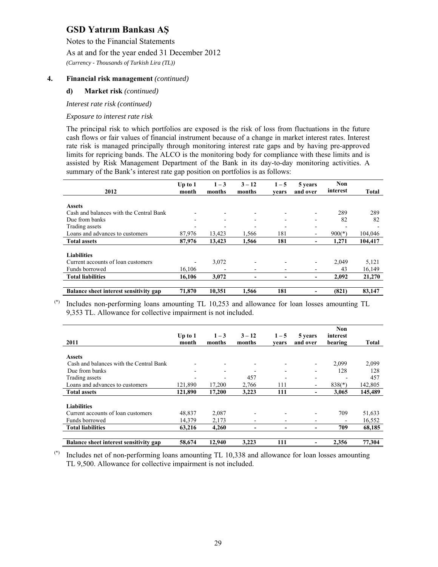Notes to the Financial Statements

As at and for the year ended 31 December 2012

*(Currency - Thousands of Turkish Lira (TL))* 

### **4. Financial risk management** *(continued)*

#### **d) Market risk** *(continued)*

*Interest rate risk (continued)* 

#### *Exposure to interest rate risk*

The principal risk to which portfolios are exposed is the risk of loss from fluctuations in the future cash flows or fair values of financial instrument because of a change in market interest rates. Interest rate risk is managed principally through monitoring interest rate gaps and by having pre-approved limits for repricing bands. The ALCO is the monitoring body for compliance with these limits and is assisted by Risk Management Department of the Bank in its day-to-day monitoring activities. A summary of the Bank's interest rate gap position on portfolios is as follows:

|                                         | Up to $1$ | $1 - 3$ | $3 - 12$                 | $1 - 5$                  | 5 years                      | Non<br>interest |              |
|-----------------------------------------|-----------|---------|--------------------------|--------------------------|------------------------------|-----------------|--------------|
| 2012                                    | month     | months  | months                   | vears                    | and over                     |                 | <b>Total</b> |
|                                         |           |         |                          |                          |                              |                 |              |
| <b>Assets</b>                           |           |         |                          |                          |                              |                 |              |
| Cash and balances with the Central Bank |           |         |                          |                          |                              | 289             | 289          |
| Due from banks                          |           | -       | $\overline{\phantom{a}}$ | $\overline{\phantom{0}}$ | $\overline{\phantom{a}}$     | 82              | 82           |
| Trading assets                          |           |         |                          |                          | $\overline{\phantom{0}}$     |                 |              |
| Loans and advances to customers         | 87,976    | 13,423  | 1,566                    | 181                      | $\overline{\phantom{a}}$     | $900(*)$        | 104,046      |
| <b>Total assets</b>                     | 87,976    | 13.423  | 1,566                    | 181                      |                              | 1,271           | 104,417      |
|                                         |           |         |                          |                          |                              |                 |              |
| <b>Liabilities</b>                      |           |         |                          |                          |                              |                 |              |
| Current accounts of loan customers      |           | 3,072   |                          |                          |                              | 2,049           | 5,121        |
| Funds borrowed                          | 16,106    |         | $\overline{\phantom{a}}$ | ۰                        | $\overline{\phantom{a}}$     | 43              | 16,149       |
| <b>Total liabilities</b>                | 16.106    | 3,072   |                          |                          | $\qquad \qquad \blacksquare$ | 2,092           | 21,270       |
|                                         |           |         |                          |                          |                              |                 |              |
| Balance sheet interest sensitivity gap  | 71,870    | 10.351  | 1.566                    | 181                      |                              | (821)           | 83,147       |

(\*) Includes non-performing loans amounting TL 10,253 and allowance for loan losses amounting TL 9,353 TL. Allowance for collective impairment is not included.

|                                         |                          |         |                          |                          |                          | Non      |              |
|-----------------------------------------|--------------------------|---------|--------------------------|--------------------------|--------------------------|----------|--------------|
|                                         | Up to $1$                | $1 - 3$ | $3 - 12$                 | $1 - 5$                  | 5 years                  | interest |              |
| 2011                                    | month                    | months  | months                   | vears                    | and over                 | bearing  | <b>Total</b> |
|                                         |                          |         |                          |                          |                          |          |              |
| <b>Assets</b>                           |                          |         |                          |                          |                          |          |              |
| Cash and balances with the Central Bank |                          |         | $\overline{\phantom{a}}$ |                          |                          | 2.099    | 2,099        |
| Due from banks                          | $\overline{\phantom{0}}$ | ۰       | $\overline{\phantom{0}}$ | $\overline{\phantom{0}}$ |                          | 128      | 128          |
| Trading assets                          | $\blacksquare$           |         | 457                      |                          | $\overline{\phantom{0}}$ |          | 457          |
| Loans and advances to customers         | 121,890                  | 17,200  | 2,766                    | 111                      | ۰                        | $838(*)$ | 142,805      |
| <b>Total assets</b>                     | 121.890                  | 17.200  | 3,223                    | 111                      |                          | 3.065    | 145,489      |
|                                         |                          |         |                          |                          |                          |          |              |
| <b>Liabilities</b>                      |                          |         |                          |                          |                          |          |              |
| Current accounts of loan customers      | 48.837                   | 2,087   |                          |                          |                          | 709      | 51,633       |
| Funds borrowed                          | 14,379                   | 2,173   |                          | -                        |                          |          | 16,552       |
| <b>Total liabilities</b>                | 63,216                   | 4,260   | -                        | -                        |                          | 709      | 68,185       |
|                                         |                          |         |                          |                          |                          |          |              |
| Balance sheet interest sensitivity gap  | 58,674                   | 12.940  | 3,223                    | 111                      |                          | 2.356    | 77.304       |

(\*) Includes net of non-performing loans amounting TL 10,338 and allowance for loan losses amounting TL 9,500. Allowance for collective impairment is not included.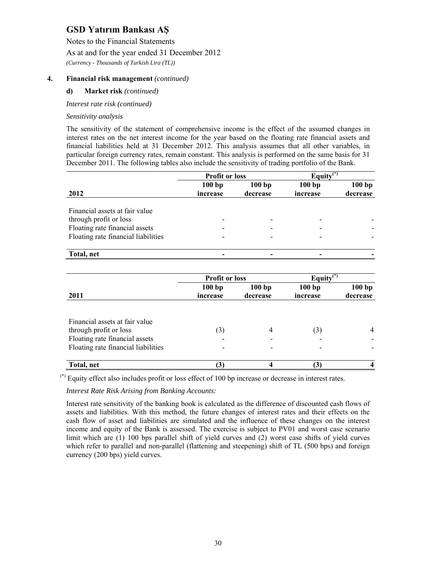Notes to the Financial Statements

As at and for the year ended 31 December 2012

*(Currency - Thousands of Turkish Lira (TL))* 

## **4. Financial risk management** *(continued)*

#### **d) Market risk** *(continued)*

*Interest rate risk (continued)* 

#### *Sensitivity analysis*

The sensitivity of the statement of comprehensive income is the effect of the assumed changes in interest rates on the net interest income for the year based on the floating rate financial assets and financial liabilities held at 31 December 2012. This analysis assumes that all other variables, in particular foreign currency rates, remain constant. This analysis is performed on the same basis for 31 December 2011. The following tables also include the sensitivity of trading portfolio of the Bank.

|                                     | <b>Profit or loss</b> |          | Equity $(*)$ |          |  |
|-------------------------------------|-----------------------|----------|--------------|----------|--|
|                                     | 100bp                 | 100bp    | 100bp        | 100bp    |  |
| 2012                                | increase              | decrease | increase     | decrease |  |
|                                     |                       |          |              |          |  |
| Financial assets at fair value      |                       |          |              |          |  |
| through profit or loss              |                       |          |              |          |  |
| Floating rate financial assets      |                       |          |              |          |  |
| Floating rate financial liabilities |                       |          |              |          |  |
|                                     |                       |          |              |          |  |
| Total, net                          |                       |          |              |          |  |

|                                                                                                                                   | <b>Profit or loss</b> |                   | Equity $\overline{\mathbf{w}^{(n)}}$ |                   |
|-----------------------------------------------------------------------------------------------------------------------------------|-----------------------|-------------------|--------------------------------------|-------------------|
| 2011                                                                                                                              | 100bp<br>increase     | 100bp<br>decrease | 100bp<br>increase                    | 100bp<br>decrease |
| Financial assets at fair value<br>through profit or loss<br>Floating rate financial assets<br>Floating rate financial liabilities | (3)                   | 4                 | (3)                                  | $\overline{4}$    |
| Total, net                                                                                                                        |                       | Δ                 | $\left(3\right)$                     |                   |

 $(*)$  Equity effect also includes profit or loss effect of 100 bp increase or decrease in interest rates.

#### *Interest Rate Risk Arising from Banking Accounts:*

Interest rate sensitivity of the banking book is calculated as the difference of discounted cash flows of assets and liabilities. With this method, the future changes of interest rates and their effects on the cash flow of asset and liabilities are simulated and the influence of these changes on the interest income and equity of the Bank is assessed. The exercise is subject to PV01 and worst case scenario limit which are (1) 100 bps parallel shift of yield curves and (2) worst case shifts of yield curves which refer to parallel and non-parallel (flattening and steepening) shift of TL (500 bps) and foreign currency (200 bps) yield curves.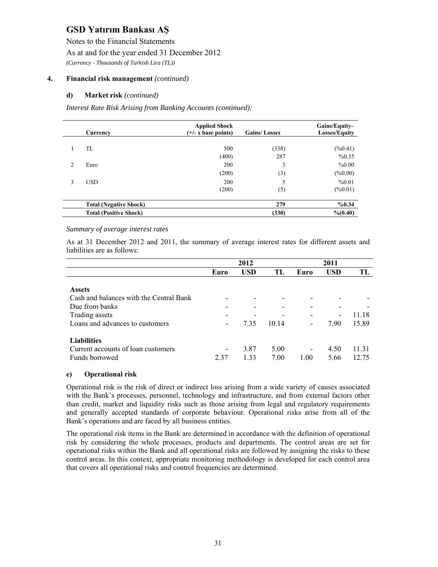Notes to the Financial Statements

As at and for the year ended 31 December 2012

*(Currency - Thousands of Turkish Lira (TL))* 

## **4. Financial risk management** *(continued)*

#### **d) Market risk** *(continued)*

*Interest Rate Risk Arising from Banking Accounts (continued):* 

|   | Currency                      | <b>Applied Shock</b><br>$(+/- x \text{ base points})$ | <b>Gains/Losses</b> | Gains/Equity-<br><b>Losses/Equity</b> |
|---|-------------------------------|-------------------------------------------------------|---------------------|---------------------------------------|
|   | TL                            | 500                                                   | (338)               | $(\%0.41)$                            |
|   |                               | (400)                                                 | 287                 | %0.35                                 |
| 2 | Euro                          | 200                                                   | 3                   | %0.00                                 |
|   |                               | (200)                                                 | $\left( 3\right)$   | $(\%0.00)$                            |
| 3 | <b>USD</b>                    | 200<br>(200)                                          | 5<br>(5)            | %0.01<br>$(\%0.01)$                   |
|   | <b>Total (Negative Shock)</b> |                                                       | 279                 | %0.34                                 |
|   | <b>Total (Positive Shock)</b> |                                                       | (330)               | % (0.40)                              |

#### *Summary of average interest rates*

As at 31 December 2012 and 2011, the summary of average interest rates for different assets and liabilities are as follows:

|                                         |       | 2012       |       |                          | 2011       |       |
|-----------------------------------------|-------|------------|-------|--------------------------|------------|-------|
|                                         | Euro  | <b>USD</b> | TL    | Euro                     | <b>USD</b> | TL    |
|                                         |       |            |       |                          |            |       |
| <b>Assets</b>                           |       |            |       |                          |            |       |
| Cash and balances with the Central Bank |       |            |       |                          |            |       |
| Due from banks                          |       |            |       |                          |            |       |
| Trading assets                          |       |            |       |                          | -          | 11.18 |
| Loans and advances to customers         |       | 7.35       | 10.14 |                          | 7.90       | 15.89 |
|                                         |       |            |       |                          |            |       |
| <b>Liabilities</b>                      |       |            |       |                          |            |       |
| Current accounts of loan customers      |       | 3.87       | 5.00  | $\overline{\phantom{a}}$ | 4.50       | 11.31 |
| Funds borrowed                          | 2 3 7 | 1.33       | 7.00  | 1.00                     | 5.66       | 12.75 |

#### **e) Operational risk**

Operational risk is the risk of direct or indirect loss arising from a wide variety of causes associated with the Bank's processes, personnel, technology and infrastructure, and from external factors other than credit, market and liquidity risks such as those arising from legal and regulatory requirements and generally accepted standards of corporate behaviour. Operational risks arise from all of the Bank's operations and are faced by all business entities.

The operational risk items in the Bank are determined in accordance with the definition of operational risk by considering the whole processes, products and departments. The control areas are set for operational risks within the Bank and all operational risks are followed by assigning the risks to these control areas. In this context, appropriate monitoring methodology is developed for each control area that covers all operational risks and control frequencies are determined.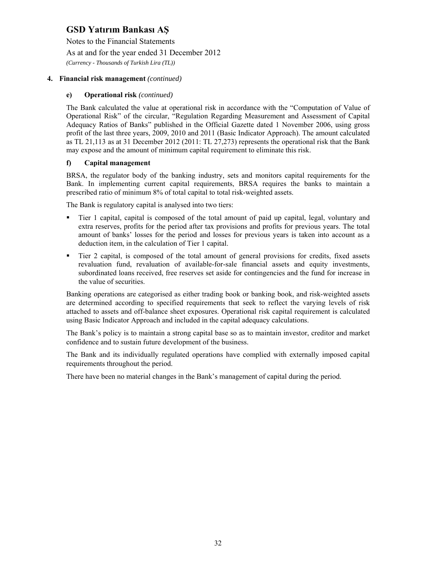Notes to the Financial Statements

As at and for the year ended 31 December 2012

*(Currency - Thousands of Turkish Lira (TL))* 

### **4. Financial risk management** *(continued)*

### **e) Operational risk** *(continued)*

The Bank calculated the value at operational risk in accordance with the "Computation of Value of Operational Risk" of the circular, "Regulation Regarding Measurement and Assessment of Capital Adequacy Ratios of Banks" published in the Official Gazette dated 1 November 2006, using gross profit of the last three years, 2009, 2010 and 2011 (Basic Indicator Approach). The amount calculated as TL 21,113 as at 31 December 2012 (2011: TL 27,273) represents the operational risk that the Bank may expose and the amount of minimum capital requirement to eliminate this risk.

## **f) Capital management**

BRSA, the regulator body of the banking industry, sets and monitors capital requirements for the Bank. In implementing current capital requirements, BRSA requires the banks to maintain a prescribed ratio of minimum 8% of total capital to total risk-weighted assets.

The Bank is regulatory capital is analysed into two tiers:

- Tier 1 capital, capital is composed of the total amount of paid up capital, legal, voluntary and extra reserves, profits for the period after tax provisions and profits for previous years. The total amount of banks' losses for the period and losses for previous years is taken into account as a deduction item, in the calculation of Tier 1 capital.
- Tier 2 capital, is composed of the total amount of general provisions for credits, fixed assets revaluation fund, revaluation of available-for-sale financial assets and equity investments, subordinated loans received, free reserves set aside for contingencies and the fund for increase in the value of securities.

Banking operations are categorised as either trading book or banking book, and risk-weighted assets are determined according to specified requirements that seek to reflect the varying levels of risk attached to assets and off-balance sheet exposures. Operational risk capital requirement is calculated using Basic Indicator Approach and included in the capital adequacy calculations.

The Bank's policy is to maintain a strong capital base so as to maintain investor, creditor and market confidence and to sustain future development of the business.

The Bank and its individually regulated operations have complied with externally imposed capital requirements throughout the period.

There have been no material changes in the Bank's management of capital during the period.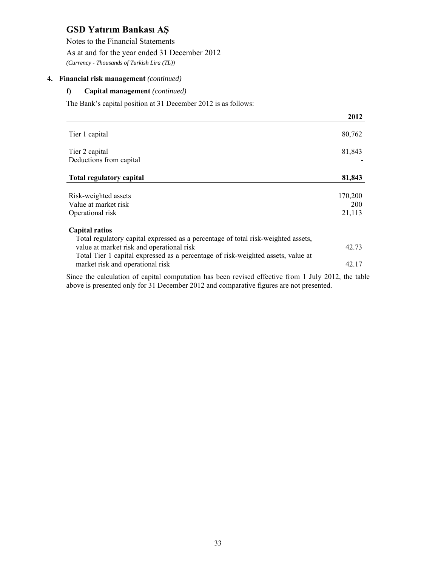Notes to the Financial Statements

As at and for the year ended 31 December 2012

*(Currency - Thousands of Turkish Lira (TL))* 

### **4. Financial risk management** *(continued)*

### **f) Capital management** *(continued)*

The Bank's capital position at 31 December 2012 is as follows:

|                                                                                                            | 2012       |
|------------------------------------------------------------------------------------------------------------|------------|
| Tier 1 capital                                                                                             | 80,762     |
| Tier 2 capital                                                                                             | 81,843     |
| Deductions from capital                                                                                    |            |
| <b>Total regulatory capital</b>                                                                            | 81,843     |
| Risk-weighted assets                                                                                       | 170,200    |
| Value at market risk                                                                                       | <b>200</b> |
| Operational risk                                                                                           | 21,113     |
| <b>Capital ratios</b><br>Total regulatory capital expressed as a percentage of total risk-weighted assets, |            |
| value at market risk and operational risk                                                                  | 42.73      |
| Total Tier 1 capital expressed as a percentage of risk-weighted assets, value at                           |            |
| market risk and operational risk                                                                           | 42.17      |
| Since the calculation of capital computation has been revised effective from 1 July 2012, the table        |            |

above is presented only for 31 December 2012 and comparative figures are not presented.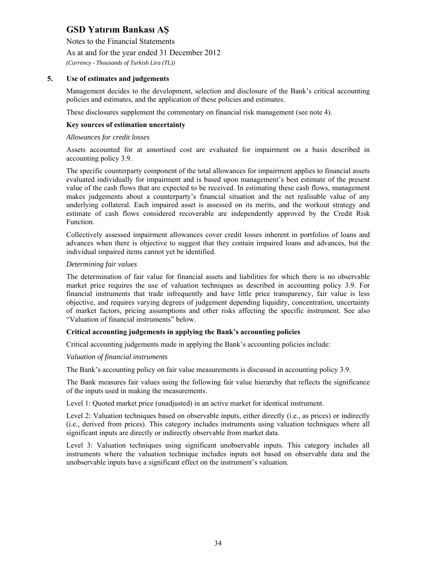Notes to the Financial Statements

As at and for the year ended 31 December 2012

*(Currency - Thousands of Turkish Lira (TL))* 

### **5. Use of estimates and judgements**

Management decides to the development, selection and disclosure of the Bank's critical accounting policies and estimates, and the application of these policies and estimates.

These disclosures supplement the commentary on financial risk management (see note 4).

#### **Key sources of estimation uncertainty**

#### *Allowances for credit losses*

Assets accounted for at amortised cost are evaluated for impairment on a basis described in accounting policy 3.9.

The specific counterparty component of the total allowances for impairment applies to financial assets evaluated individually for impairment and is based upon management's best estimate of the present value of the cash flows that are expected to be received. In estimating these cash flows, management makes judgements about a counterparty's financial situation and the net realisable value of any underlying collateral. Each impaired asset is assessed on its merits, and the workout strategy and estimate of cash flows considered recoverable are independently approved by the Credit Risk Function.

Collectively assessed impairment allowances cover credit losses inherent in portfolios of loans and advances when there is objective to suggest that they contain impaired loans and advances, but the individual impaired items cannot yet be identified.

#### *Determining fair values*

The determination of fair value for financial assets and liabilities for which there is no observable market price requires the use of valuation techniques as described in accounting policy 3.9. For financial instruments that trade infrequently and have little price transparency, fair value is less objective, and requires varying degrees of judgement depending liquidity, concentration, uncertainty of market factors, pricing assumptions and other risks affecting the specific instrument. See also "Valuation of financial instruments" below.

#### **Critical accounting judgements in applying the Bank's accounting policies**

Critical accounting judgements made in applying the Bank's accounting policies include:

#### *Valuation of financial instruments*

The Bank's accounting policy on fair value measurements is discussed in accounting policy 3.9.

The Bank measures fair values using the following fair value hierarchy that reflects the significance of the inputs used in making the measurements.

Level 1: Quoted market price (unadjusted) in an active market for identical instrument.

Level 2: Valuation techniques based on observable inputs, either directly (i.e., as prices) or indirectly (i.e., derived from prices). This category includes instruments using valuation techniques where all significant inputs are directly or indirectly observable from market data.

Level 3: Valuation techniques using significant unobservable inputs. This category includes all instruments where the valuation technique includes inputs not based on observable data and the unobservable inputs have a significant effect on the instrument's valuation.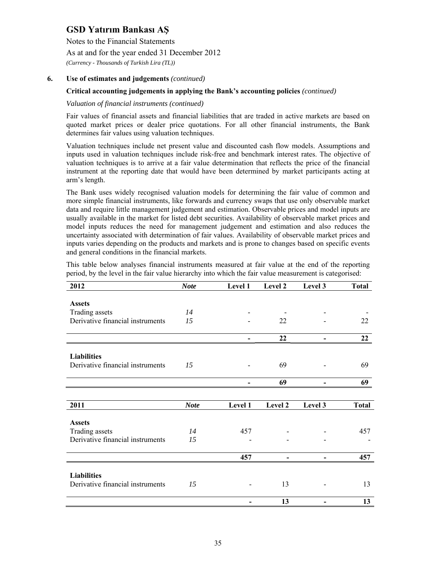Notes to the Financial Statements

As at and for the year ended 31 December 2012

*(Currency - Thousands of Turkish Lira (TL))* 

## **6. Use of estimates and judgements** *(continued)*

### **Critical accounting judgements in applying the Bank's accounting policies** *(continued)*

#### *Valuation of financial instruments (continued)*

Fair values of financial assets and financial liabilities that are traded in active markets are based on quoted market prices or dealer price quotations. For all other financial instruments, the Bank determines fair values using valuation techniques.

Valuation techniques include net present value and discounted cash flow models. Assumptions and inputs used in valuation techniques include risk-free and benchmark interest rates. The objective of valuation techniques is to arrive at a fair value determination that reflects the price of the financial instrument at the reporting date that would have been determined by market participants acting at arm's length.

The Bank uses widely recognised valuation models for determining the fair value of common and more simple financial instruments, like forwards and currency swaps that use only observable market data and require little management judgement and estimation. Observable prices and model inputs are usually available in the market for listed debt securities. Availability of observable market prices and model inputs reduces the need for management judgement and estimation and also reduces the uncertainty associated with determination of fair values. Availability of observable market prices and inputs varies depending on the products and markets and is prone to changes based on specific events and general conditions in the financial markets.

This table below analyses financial instruments measured at fair value at the end of the reporting period, by the level in the fair value hierarchy into which the fair value measurement is categorised:

| 2012                             | <b>Note</b> | Level 1 | Level 2 | Level 3 | <b>Total</b> |
|----------------------------------|-------------|---------|---------|---------|--------------|
|                                  |             |         |         |         |              |
| <b>Assets</b>                    |             |         |         |         |              |
| Trading assets                   | 14          |         |         |         |              |
| Derivative financial instruments | 15          |         | 22      |         | 22           |
|                                  |             |         |         |         |              |
|                                  |             | -       | 22      |         | 22           |
|                                  |             |         |         |         |              |
| <b>Liabilities</b>               |             |         |         |         |              |
| Derivative financial instruments | 15          |         | 69      |         | 69           |
|                                  |             |         | 69      |         | 69           |
|                                  |             |         |         |         |              |
| 2011                             | <b>Note</b> | Level 1 | Level 2 | Level 3 | <b>Total</b> |
|                                  |             |         |         |         |              |
| <b>Assets</b>                    |             |         |         |         |              |
| Trading assets                   | 14          | 457     |         |         | 457          |
| Derivative financial instruments | 15          |         |         |         |              |
|                                  |             |         |         |         |              |
|                                  |             | 457     |         |         | 457          |
|                                  |             |         |         |         |              |
| <b>Liabilities</b>               |             |         |         |         |              |
| Derivative financial instruments | 15          |         | 13      |         | 13           |
|                                  |             |         |         |         |              |
|                                  |             |         | 13      |         | 13           |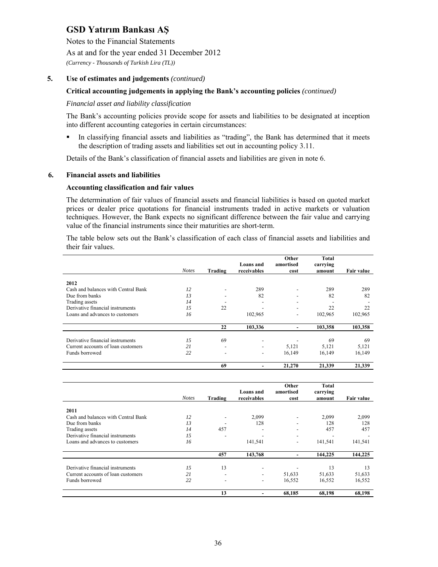Notes to the Financial Statements

As at and for the year ended 31 December 2012

*(Currency - Thousands of Turkish Lira (TL))* 

### **5. Use of estimates and judgements** *(continued)*

#### **Critical accounting judgements in applying the Bank's accounting policies** *(continued)*

#### *Financial asset and liability classification*

The Bank's accounting policies provide scope for assets and liabilities to be designated at inception into different accounting categories in certain circumstances:

 In classifying financial assets and liabilities as "trading", the Bank has determined that it meets the description of trading assets and liabilities set out in accounting policy 3.11.

Details of the Bank's classification of financial assets and liabilities are given in note 6.

#### **6. Financial assets and liabilities**

#### **Accounting classification and fair values**

The determination of fair values of financial assets and financial liabilities is based on quoted market prices or dealer price quotations for financial instruments traded in active markets or valuation techniques. However, the Bank expects no significant difference between the fair value and carrying value of the financial instruments since their maturities are short-term.

The table below sets out the Bank's classification of each class of financial assets and liabilities and their fair values.

|                                     |              |                          |                          | Other                    | <b>Total</b>       |            |
|-------------------------------------|--------------|--------------------------|--------------------------|--------------------------|--------------------|------------|
|                                     | <b>Notes</b> | Trading                  | Loans and<br>receivables | amortised<br>cost        | carrying<br>amount | Fair value |
|                                     |              |                          |                          |                          |                    |            |
| 2012                                |              |                          |                          |                          |                    |            |
| Cash and balances with Central Bank | 12           | $\overline{\phantom{a}}$ | 289                      |                          | 289                | 289        |
| Due from banks                      | 13           | $\overline{\phantom{0}}$ | 82                       |                          | 82                 | 82         |
| Trading assets                      | 14           |                          |                          | $\overline{\phantom{0}}$ |                    |            |
| Derivative financial instruments    | 1.5          | 22                       |                          |                          | 22                 | 22         |
| Loans and advances to customers     | 16           |                          | 102,965                  | $\overline{\phantom{0}}$ | 102,965            | 102,965    |
|                                     |              | 22                       | 103,336                  |                          | 103,358            | 103,358    |
|                                     |              |                          |                          |                          |                    |            |
| Derivative financial instruments    | 15           | 69                       | $\overline{\phantom{a}}$ |                          | 69                 | 69         |
| Current accounts of loan customers  | 21           | $\overline{\phantom{a}}$ | $\overline{\phantom{a}}$ | 5,121                    | 5,121              | 5,121      |
| Funds borrowed                      | 22           | $\overline{\phantom{a}}$ | $\overline{\phantom{a}}$ | 16,149                   | 16,149             | 16,149     |
|                                     |              | 69                       |                          | 21,270                   | 21.339             | 21.339     |

|                                     | <b>Notes</b> | Trading | <b>Loans</b> and<br>receivables | Other<br>amortised<br>cost | Total<br>carrying<br>amount | Fair value |
|-------------------------------------|--------------|---------|---------------------------------|----------------------------|-----------------------------|------------|
| 2011                                |              |         |                                 |                            |                             |            |
| Cash and balances with Central Bank | 12           |         | 2,099                           |                            | 2,099                       | 2,099      |
| Due from banks                      | 13           |         | 128                             |                            | 128                         | 128        |
| Trading assets                      | 14           | 457     |                                 |                            | 457                         | 457        |
| Derivative financial instruments    | 15           |         |                                 |                            |                             |            |
| Loans and advances to customers     | 16           |         | 141,541                         |                            | 141,541                     | 141,541    |
|                                     |              | 457     | 143,768                         |                            | 144,225                     | 144,225    |
| Derivative financial instruments    | 15           | 13      | $\overline{\phantom{a}}$        |                            | 13                          | 13         |
| Current accounts of loan customers  | 21           |         | $\overline{\phantom{a}}$        | 51,633                     | 51,633                      | 51,633     |
| Funds borrowed                      | 22           | ۰       | $\overline{\phantom{a}}$        | 16,552                     | 16,552                      | 16,552     |
|                                     |              | 13      |                                 | 68,185                     | 68,198                      | 68,198     |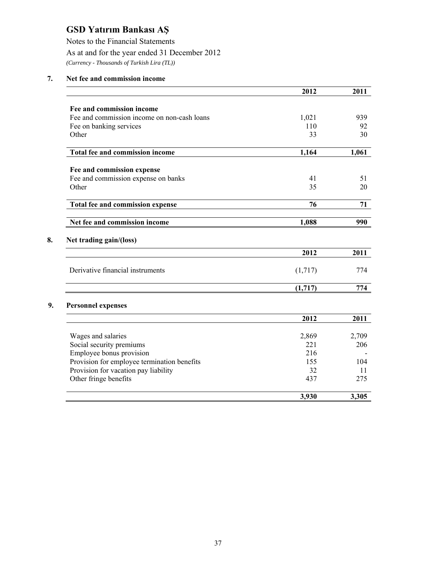Notes to the Financial Statements

## As at and for the year ended 31 December 2012

*(Currency - Thousands of Turkish Lira (TL))* 

## **7. Net fee and commission income**

|                                             | 2012    | 2011  |
|---------------------------------------------|---------|-------|
| Fee and commission income                   |         |       |
| Fee and commission income on non-cash loans | 1,021   | 939   |
| Fee on banking services                     | 110     | 92    |
| Other                                       | 33      | 30    |
| Total fee and commission income             | 1,164   | 1,061 |
| Fee and commission expense                  |         |       |
| Fee and commission expense on banks         | 41      | 51    |
| Other                                       | 35      | 20    |
| <b>Total fee and commission expense</b>     | 76      | 71    |
| Net fee and commission income               | 1,088   | 990   |
| Net trading gain/(loss)                     | 2012    | 2011  |
| Derivative financial instruments            | (1,717) | 774   |
|                                             | (1,717) | 774   |
| <b>Personnel expenses</b>                   |         |       |
|                                             | 2012    | 2011  |
| Wages and salaries                          | 2,869   | 2,709 |
| Social security premiums                    | 221     | 206   |
| Employee bonus provision                    | 216     |       |
| Provision for employee termination benefits | 155     | 104   |
| Provision for vacation pay liability        | 32      | 11    |
| Other fringe benefits                       | 437     | 275   |
|                                             | 3,930   | 3,305 |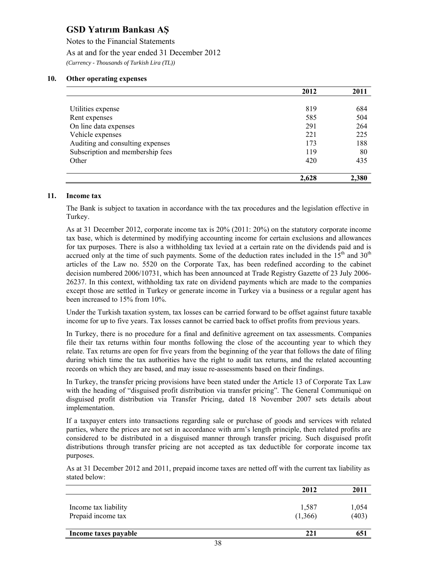Notes to the Financial Statements As at and for the year ended 31 December 2012 *(Currency - Thousands of Turkish Lira (TL))* 

### **10. Other operating expenses**

|                                  | 2012  | 2011  |
|----------------------------------|-------|-------|
|                                  |       |       |
| Utilities expense                | 819   | 684   |
| Rent expenses                    | 585   | 504   |
| On line data expenses            | 291   | 264   |
| Vehicle expenses                 | 221   | 225   |
| Auditing and consulting expenses | 173   | 188   |
| Subscription and membership fees | 119   | 80    |
| Other                            | 420   | 435   |
|                                  | 2,628 | 2,380 |

#### **11. Income tax**

The Bank is subject to taxation in accordance with the tax procedures and the legislation effective in Turkey.

As at 31 December 2012, corporate income tax is 20% (2011: 20%) on the statutory corporate income tax base, which is determined by modifying accounting income for certain exclusions and allowances for tax purposes. There is also a withholding tax levied at a certain rate on the dividends paid and is accrued only at the time of such payments. Some of the deduction rates included in the  $15<sup>th</sup>$  and  $30<sup>th</sup>$ articles of the Law no. 5520 on the Corporate Tax, has been redefined according to the cabinet decision numbered 2006/10731, which has been announced at Trade Registry Gazette of 23 July 2006- 26237. In this context, withholding tax rate on dividend payments which are made to the companies except those are settled in Turkey or generate income in Turkey via a business or a regular agent has been increased to 15% from 10%.

Under the Turkish taxation system, tax losses can be carried forward to be offset against future taxable income for up to five years. Tax losses cannot be carried back to offset profits from previous years.

In Turkey, there is no procedure for a final and definitive agreement on tax assessments. Companies file their tax returns within four months following the close of the accounting year to which they relate. Tax returns are open for five years from the beginning of the year that follows the date of filing during which time the tax authorities have the right to audit tax returns, and the related accounting records on which they are based, and may issue re-assessments based on their findings.

In Turkey, the transfer pricing provisions have been stated under the Article 13 of Corporate Tax Law with the heading of "disguised profit distribution via transfer pricing". The General Communiqué on disguised profit distribution via Transfer Pricing, dated 18 November 2007 sets details about implementation.

If a taxpayer enters into transactions regarding sale or purchase of goods and services with related parties, where the prices are not set in accordance with arm's length principle, then related profits are considered to be distributed in a disguised manner through transfer pricing. Such disguised profit distributions through transfer pricing are not accepted as tax deductible for corporate income tax purposes.

As at 31 December 2012 and 2011, prepaid income taxes are netted off with the current tax liability as stated below:

|                                            | 2012             | 2011           |
|--------------------------------------------|------------------|----------------|
| Income tax liability<br>Prepaid income tax | 1,587<br>(1,366) | 1,054<br>(403) |
| Income taxes payable                       | 221              | 651            |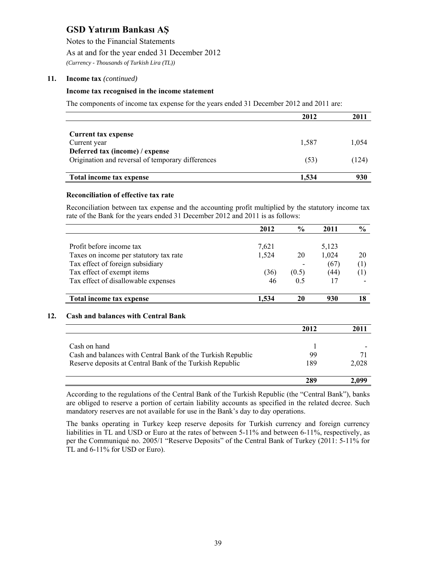Notes to the Financial Statements

As at and for the year ended 31 December 2012

*(Currency - Thousands of Turkish Lira (TL))* 

#### **11. Income tax** *(continued)*

#### **Income tax recognised in the income statement**

The components of income tax expense for the years ended 31 December 2012 and 2011 are:

|                                                   | 2012  |       |
|---------------------------------------------------|-------|-------|
|                                                   |       |       |
| <b>Current tax expense</b>                        |       |       |
| Current year                                      | 1.587 | 1,054 |
| Deferred tax (income) / expense                   |       |       |
| Origination and reversal of temporary differences | (53)  | (124) |
|                                                   |       |       |
| Total income tax expense                          | 1,534 | 930   |

#### **Reconciliation of effective tax rate**

Reconciliation between tax expense and the accounting profit multiplied by the statutory income tax rate of the Bank for the years ended 31 December 2012 and 2011 is as follows:

|                                        | 2012  | $\frac{0}{0}$ | 2011  | $\frac{0}{0}$ |
|----------------------------------------|-------|---------------|-------|---------------|
|                                        |       |               |       |               |
| Profit before income tax               | 7,621 |               | 5,123 |               |
| Taxes on income per statutory tax rate | 1,524 | 20            | 1,024 | 20            |
| Tax effect of foreign subsidiary       |       |               | (67)  | (1)           |
| Tax effect of exempt items             | (36)  | (0.5)         | (44)  | (1)           |
| Tax effect of disallowable expenses    | 46    | 0.5           | 17    |               |
| Total income tax expense               | 1,534 | 20            | 930   | 18            |

|                                                             | 2012 | 2011  |
|-------------------------------------------------------------|------|-------|
|                                                             |      |       |
| Cash on hand                                                |      |       |
| Cash and balances with Central Bank of the Turkish Republic | 99   |       |
| Reserve deposits at Central Bank of the Turkish Republic    | 189  | 2.028 |
|                                                             | 289  | 2.099 |

According to the regulations of the Central Bank of the Turkish Republic (the "Central Bank"), banks are obliged to reserve a portion of certain liability accounts as specified in the related decree. Such mandatory reserves are not available for use in the Bank's day to day operations.

The banks operating in Turkey keep reserve deposits for Turkish currency and foreign currency liabilities in TL and USD or Euro at the rates of between 5-11% and between 6-11%, respectively, as per the Communiqué no. 2005/1 "Reserve Deposits" of the Central Bank of Turkey (2011: 5-11% for TL and 6-11% for USD or Euro).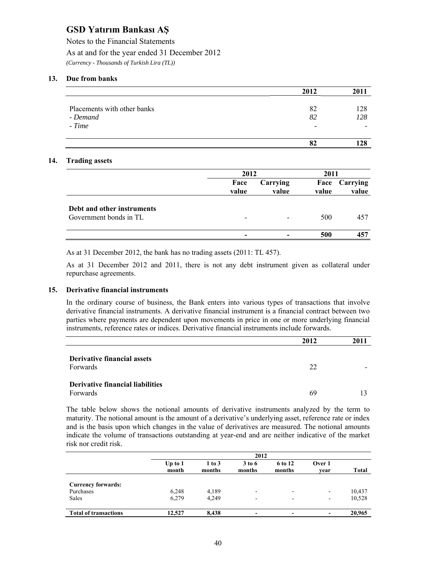Notes to the Financial Statements As at and for the year ended 31 December 2012 *(Currency - Thousands of Turkish Lira (TL))* 

#### **13. Due from banks**

|                             | 2012 | 2011 |
|-----------------------------|------|------|
|                             |      |      |
| Placements with other banks | 82   | 128  |
| - Demand                    | 82   | 128  |
| - Time                      | -    |      |
|                             | 82   | 28   |

#### **14. Trading assets**

|                            |                          | 2012              |               | 2011              |  |
|----------------------------|--------------------------|-------------------|---------------|-------------------|--|
|                            | Face<br>value            | Carrying<br>value | Face<br>value | Carrying<br>value |  |
| Debt and other instruments |                          |                   |               |                   |  |
| Government bonds in TL     | $\overline{\phantom{0}}$ |                   | 500           | 457               |  |
|                            | $\overline{\phantom{0}}$ |                   | 500           | 457               |  |

As at 31 December 2012, the bank has no trading assets (2011: TL 457).

As at 31 December 2012 and 2011, there is not any debt instrument given as collateral under repurchase agreements.

#### **15. Derivative financial instruments**

In the ordinary course of business, the Bank enters into various types of transactions that involve derivative financial instruments. A derivative financial instrument is a financial contract between two parties where payments are dependent upon movements in price in one or more underlying financial instruments, reference rates or indices. Derivative financial instruments include forwards.

|                                                     | 2012 | 2011 |
|-----------------------------------------------------|------|------|
| <b>Derivative financial assets</b><br>Forwards      | 22   |      |
| <b>Derivative financial liabilities</b><br>Forwards | 69   |      |

The table below shows the notional amounts of derivative instruments analyzed by the term to maturity. The notional amount is the amount of a derivative's underlying asset, reference rate or index and is the basis upon which changes in the value of derivatives are measured. The notional amounts indicate the volume of transactions outstanding at year-end and are neither indicative of the market risk nor credit risk.

|                              | 2012               |                      |                          |                          |                          |              |
|------------------------------|--------------------|----------------------|--------------------------|--------------------------|--------------------------|--------------|
|                              | Up to $1$<br>month | $1$ to $3$<br>months | 3 to 6<br>months         | 6 to 12<br>months        | Over 1<br>vear           | <b>Total</b> |
|                              |                    |                      |                          |                          |                          |              |
| <b>Currency forwards:</b>    |                    |                      |                          |                          |                          |              |
| Purchases                    | 6,248              | 4,189                | $\overline{\phantom{0}}$ | $\overline{\phantom{0}}$ | $\overline{\phantom{0}}$ | 10,437       |
| Sales                        | 6,279              | 4,249                | $\overline{\phantom{0}}$ | $\overline{\phantom{0}}$ | $\overline{\phantom{0}}$ | 10,528       |
| <b>Total of transactions</b> | 12.527             | 8.438                | $\,$                     | -                        |                          | 20,965       |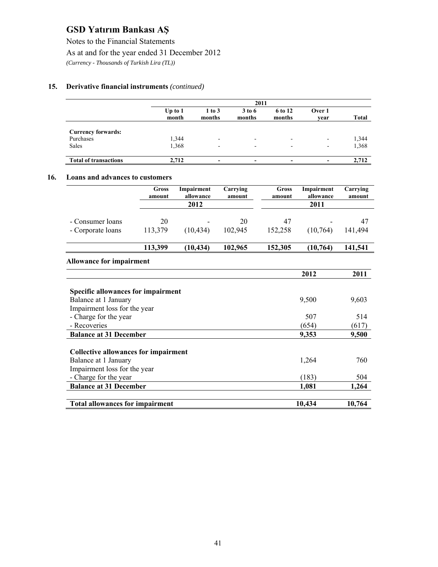Notes to the Financial Statements

As at and for the year ended 31 December 2012

*(Currency - Thousands of Turkish Lira (TL))* 

## **15. Derivative financial instruments** *(continued)*

|                              |                    | 2011                     |                          |                          |                              |       |  |
|------------------------------|--------------------|--------------------------|--------------------------|--------------------------|------------------------------|-------|--|
|                              | Up to $1$<br>month | $1$ to $3$<br>months     | 3 to 6<br>months         | 6 to 12<br>months        | Over 1<br>vear               | Total |  |
| <b>Currency forwards:</b>    |                    |                          |                          |                          |                              |       |  |
| Purchases                    | 1,344              | $\blacksquare$           | $\overline{\phantom{0}}$ | $\overline{\phantom{0}}$ | -                            | 1,344 |  |
| Sales                        | 1,368              | $\overline{\phantom{a}}$ | $\overline{\phantom{a}}$ | ۰                        | $\overline{\phantom{0}}$     | 1,368 |  |
| <b>Total of transactions</b> | 2,712              | $\qquad \qquad$          | $\overline{\phantom{a}}$ | -                        | $\qquad \qquad \blacksquare$ | 2.712 |  |

#### **16. Loans and advances to customers**

|                                                                                                   | <b>Gross</b><br>amount | Impairment<br>allowance | Carrying<br>amount | <b>Gross</b><br>amount | Impairment<br>allowance | Carrying<br>amount |
|---------------------------------------------------------------------------------------------------|------------------------|-------------------------|--------------------|------------------------|-------------------------|--------------------|
|                                                                                                   |                        | 2012                    |                    |                        | 2011                    |                    |
|                                                                                                   |                        |                         |                    |                        |                         |                    |
| - Consumer loans<br>- Corporate loans                                                             | 20<br>113,379          | (10, 434)               | 20<br>102,945      | 47<br>152,258          | (10,764)                | 47<br>141,494      |
|                                                                                                   |                        |                         |                    |                        |                         |                    |
|                                                                                                   | 113,399                | (10, 434)               | 102,965            | 152,305                | (10, 764)               | 141,541            |
| <b>Allowance for impairment</b>                                                                   |                        |                         |                    |                        |                         |                    |
|                                                                                                   |                        |                         |                    |                        | 2012                    | 2011               |
| <b>Specific allowances for impairment</b><br>Balance at 1 January<br>Impairment loss for the year |                        |                         |                    |                        | 9,500                   | 9,603              |
| - Charge for the year                                                                             |                        |                         |                    |                        | 507                     | 514                |
| - Recoveries                                                                                      |                        |                         |                    |                        | (654)                   | (617)              |
| <b>Balance at 31 December</b>                                                                     |                        |                         |                    |                        | 9,353                   | 9,500              |
| Collective allowances for impairment                                                              |                        |                         |                    |                        |                         |                    |
| Balance at 1 January                                                                              |                        |                         |                    |                        | 1,264                   | 760                |
| Impairment loss for the year                                                                      |                        |                         |                    |                        |                         |                    |
| - Charge for the year                                                                             |                        |                         |                    |                        | (183)                   | 504                |
| <b>Balance at 31 December</b>                                                                     |                        |                         |                    |                        | 1,081                   | 1,264              |
| <b>Total allowances for impairment</b>                                                            |                        |                         |                    |                        | 10,434                  | 10,764             |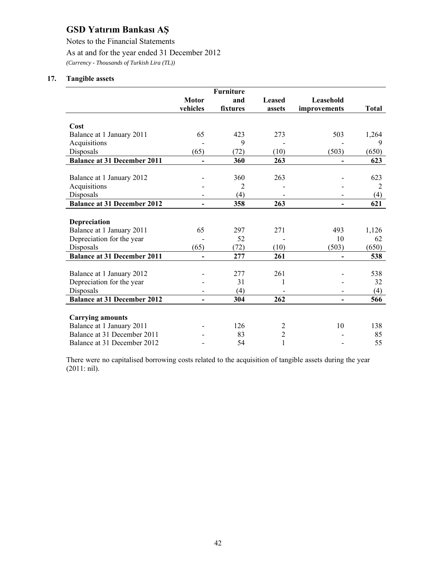Notes to the Financial Statements

As at and for the year ended 31 December 2012

*(Currency - Thousands of Turkish Lira (TL))* 

### **17. Tangible assets**

|                                    |                          | <b>Furniture</b> |                |                              |              |
|------------------------------------|--------------------------|------------------|----------------|------------------------------|--------------|
|                                    | <b>Motor</b>             | and              | <b>Leased</b>  | Leasehold                    |              |
|                                    | vehicles                 | fixtures         | assets         | improvements                 | <b>Total</b> |
|                                    |                          |                  |                |                              |              |
| Cost                               |                          |                  |                |                              |              |
| Balance at 1 January 2011          | 65                       | 423              | 273            | 503                          | 1,264        |
| Acquisitions                       |                          | 9                |                |                              | 9            |
| Disposals                          | (65)                     | (72)             | (10)           | (503)                        | (650)        |
| <b>Balance at 31 December 2011</b> | $\overline{\phantom{0}}$ | 360              | 263            | $\qquad \qquad \blacksquare$ | 623          |
|                                    |                          |                  |                |                              |              |
| Balance at 1 January 2012          |                          | 360              | 263            |                              | 623          |
| Acquisitions                       |                          | $\overline{2}$   |                |                              | 2            |
| Disposals                          |                          | (4)              |                |                              | (4)          |
| <b>Balance at 31 December 2012</b> | $\overline{\phantom{0}}$ | 358              | 263            | $\overline{\phantom{a}}$     | 621          |
|                                    |                          |                  |                |                              |              |
| <b>Depreciation</b>                |                          |                  |                |                              |              |
| Balance at 1 January 2011          | 65                       | 297              | 271            | 493                          | 1,126        |
| Depreciation for the year          |                          | 52               |                | 10                           | 62           |
| Disposals                          | (65)                     | (72)             | (10)           | (503)                        | (650)        |
| <b>Balance at 31 December 2011</b> | $\overline{a}$           | 277              | 261            | $\overline{\phantom{a}}$     | 538          |
|                                    |                          |                  |                |                              |              |
| Balance at 1 January 2012          |                          | 277              | 261            |                              | 538          |
| Depreciation for the year          |                          | 31               |                |                              | 32           |
| Disposals                          |                          | (4)              |                |                              | (4)          |
| <b>Balance at 31 December 2012</b> | $\overline{\phantom{0}}$ | 304              | 262            | $\overline{\phantom{0}}$     | 566          |
|                                    |                          |                  |                |                              |              |
| <b>Carrying amounts</b>            |                          |                  |                |                              |              |
| Balance at 1 January 2011          |                          | 126              | $\overline{c}$ | 10                           | 138          |
| Balance at 31 December 2011        |                          | 83               | $\overline{2}$ |                              | 85           |
| Balance at 31 December 2012        |                          | 54               | $\mathbf{1}$   |                              | 55           |

There were no capitalised borrowing costs related to the acquisition of tangible assets during the year (2011: nil).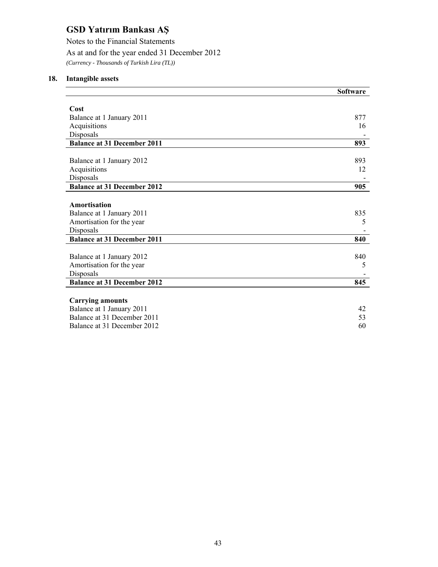Notes to the Financial Statements As at and for the year ended 31 December 2012 *(Currency - Thousands of Turkish Lira (TL))* 

## **18. Intangible assets**

|                                    | <b>Software</b> |
|------------------------------------|-----------------|
|                                    |                 |
| Cost                               |                 |
| Balance at 1 January 2011          | 877             |
| Acquisitions                       | 16              |
| Disposals                          |                 |
| <b>Balance at 31 December 2011</b> | 893             |
|                                    |                 |
| Balance at 1 January 2012          | 893             |
| Acquisitions                       | 12              |
| Disposals                          |                 |
| <b>Balance at 31 December 2012</b> | 905             |
|                                    |                 |
| Amortisation                       |                 |
| Balance at 1 January 2011          | 835             |
| Amortisation for the year          | 5               |
| Disposals                          |                 |
| <b>Balance at 31 December 2011</b> | 840             |
|                                    |                 |
| Balance at 1 January 2012          | 840             |
| Amortisation for the year          | 5               |
| Disposals                          |                 |
| <b>Balance at 31 December 2012</b> | 845             |
|                                    |                 |
| <b>Carrying amounts</b>            |                 |
| Balance at 1 January 2011          | 42              |
| Balance at 31 December 2011        | 53              |
| Balance at 31 December 2012        | 60              |
|                                    |                 |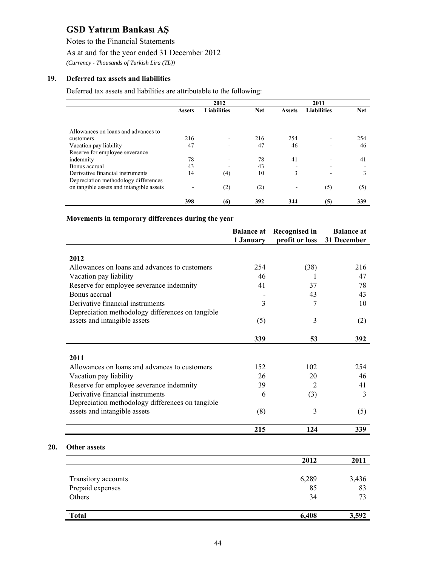Notes to the Financial Statements

## As at and for the year ended 31 December 2012

*(Currency - Thousands of Turkish Lira (TL))* 

### **19. Deferred tax assets and liabilities**

**20.** 

Deferred tax assets and liabilities are attributable to the following:

|                                          | 2012          |                    |            |               | 2011               |            |
|------------------------------------------|---------------|--------------------|------------|---------------|--------------------|------------|
|                                          | <b>Assets</b> | <b>Liabilities</b> | <b>Net</b> | <b>Assets</b> | <b>Liabilities</b> | <b>Net</b> |
|                                          |               |                    |            |               |                    |            |
| Allowances on loans and advances to      |               |                    |            |               |                    |            |
| customers                                | 216           |                    | 216        | 254           |                    | 254        |
| Vacation pay liability                   | 47            |                    | 47         | 46            |                    | 46         |
| Reserve for employee severance           |               |                    |            |               |                    |            |
| indemnity                                | 78            |                    | 78         | 41            |                    | 41         |
| Bonus accrual                            | 43            |                    | 43         |               |                    |            |
| Derivative financial instruments         | 14            | (4)                | 10         | 3             |                    | 3          |
| Depreciation methodology differences     |               |                    |            |               |                    |            |
| on tangible assets and intangible assets |               | (2)                | (2)        |               | (5)                | (5)        |
|                                          | 398           | (6)                | 392        | 344           | (5)                | 339        |

### **Movements in temporary differences during the year**

|                                                  | <b>Balance at</b><br>1 January | <b>Recognised in</b><br>profit or loss | <b>Balance at</b><br>31 December |
|--------------------------------------------------|--------------------------------|----------------------------------------|----------------------------------|
|                                                  |                                |                                        |                                  |
| 2012                                             |                                |                                        |                                  |
| Allowances on loans and advances to customers    | 254                            | (38)                                   | 216                              |
| Vacation pay liability                           | 46                             |                                        | 47                               |
| Reserve for employee severance indemnity         | 41                             | 37                                     | 78                               |
| Bonus accrual                                    |                                | 43                                     | 43                               |
| Derivative financial instruments                 | 3                              | 7                                      | 10                               |
| Depreciation methodology differences on tangible |                                |                                        |                                  |
| assets and intangible assets                     | (5)                            | 3                                      | (2)                              |
|                                                  | 339                            | 53                                     | 392                              |
|                                                  |                                |                                        |                                  |
| 2011                                             |                                |                                        |                                  |
| Allowances on loans and advances to customers    | 152                            | 102                                    | 254                              |
| Vacation pay liability                           | 26                             | 20                                     | 46                               |
| Reserve for employee severance indemnity         | 39                             | $\overline{2}$                         | 41                               |
| Derivative financial instruments                 | 6                              | (3)                                    | 3                                |
| Depreciation methodology differences on tangible |                                |                                        |                                  |
| assets and intangible assets                     | (8)                            | 3                                      | (5)                              |
|                                                  | 215                            | 124                                    | 339                              |
|                                                  |                                |                                        |                                  |
| <b>Other assets</b>                              |                                |                                        |                                  |
|                                                  |                                | 2012                                   | 2011                             |

| <b>Total</b>        | 6,408 | 3,592 |
|---------------------|-------|-------|
| Others              | 34    | 73    |
|                     |       |       |
| Prepaid expenses    | 85    | 83    |
| Transitory accounts | 6,289 | 3,436 |
|                     | 2012  | 2011  |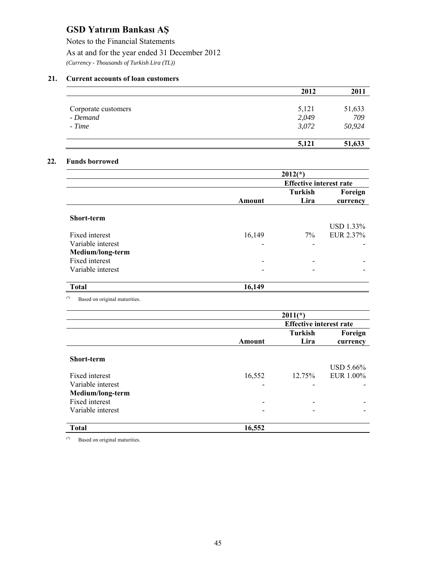Notes to the Financial Statements As at and for the year ended 31 December 2012 *(Currency - Thousands of Turkish Lira (TL))* 

### **21. Current accounts of loan customers**

|                     | 2012  | 2011   |
|---------------------|-------|--------|
|                     |       |        |
| Corporate customers | 5,121 | 51,633 |
| - Demand            | 2,049 | 709    |
| - Time              | 3,072 | 50,924 |
|                     | 5,121 | 51,633 |

### **22. Funds borrowed**

|                   |                          | $2012(*)$                      |           |  |  |
|-------------------|--------------------------|--------------------------------|-----------|--|--|
|                   |                          | <b>Effective interest rate</b> |           |  |  |
|                   |                          | <b>Turkish</b>                 | Foreign   |  |  |
|                   | <b>Amount</b>            | Lira                           | currency  |  |  |
| <b>Short-term</b> |                          |                                | USD 1.33% |  |  |
| Fixed interest    | 16,149                   | 7%                             | EUR 2.37% |  |  |
| Variable interest |                          |                                |           |  |  |
| Medium/long-term  |                          |                                |           |  |  |
| Fixed interest    | $\overline{\phantom{a}}$ |                                |           |  |  |
| Variable interest |                          |                                |           |  |  |
| <b>Total</b>      | 16,149                   |                                |           |  |  |

(\*) Based on original maturities.

|                   |        | $2011(*)$                      |           |
|-------------------|--------|--------------------------------|-----------|
|                   |        | <b>Effective interest rate</b> |           |
|                   |        | <b>Turkish</b>                 | Foreign   |
|                   | Amount | Lira                           | currency  |
| <b>Short-term</b> |        |                                | USD 5.66% |
| Fixed interest    | 16,552 | 12.75%                         | EUR 1.00% |
| Variable interest |        |                                |           |
| Medium/long-term  |        |                                |           |
| Fixed interest    |        |                                |           |
| Variable interest |        |                                |           |
| <b>Total</b>      | 16,552 |                                |           |

(\*) Based on original maturities.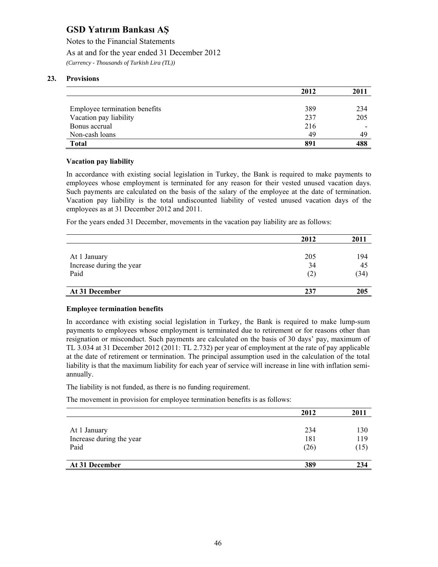Notes to the Financial Statements

As at and for the year ended 31 December 2012

*(Currency - Thousands of Turkish Lira (TL))* 

## **23. Provisions**

|                               | 2012 | 2011 |
|-------------------------------|------|------|
|                               |      |      |
| Employee termination benefits | 389  | 234  |
| Vacation pay liability        | 237  | 205  |
| Bonus accrual                 | 216  |      |
| Non-cash loans                | 49   | 49   |
| <b>Total</b>                  | 891  | 488  |

### **Vacation pay liability**

In accordance with existing social legislation in Turkey, the Bank is required to make payments to employees whose employment is terminated for any reason for their vested unused vacation days. Such payments are calculated on the basis of the salary of the employee at the date of termination. Vacation pay liability is the total undiscounted liability of vested unused vacation days of the employees as at 31 December 2012 and 2011.

For the years ended 31 December, movements in the vacation pay liability are as follows:

|                          | 2012 | 2011 |
|--------------------------|------|------|
|                          |      |      |
| At 1 January             | 205  | 194  |
| Increase during the year | 34   | 45   |
| Paid                     | (2)  | (34) |
| At 31 December           | 237  | 205  |

### **Employee termination benefits**

In accordance with existing social legislation in Turkey, the Bank is required to make lump-sum payments to employees whose employment is terminated due to retirement or for reasons other than resignation or misconduct. Such payments are calculated on the basis of 30 days' pay, maximum of TL 3.034 at 31 December 2012 (2011: TL 2.732) per year of employment at the rate of pay applicable at the date of retirement or termination. The principal assumption used in the calculation of the total liability is that the maximum liability for each year of service will increase in line with inflation semiannually.

The liability is not funded, as there is no funding requirement.

The movement in provision for employee termination benefits is as follows:

|                          | 2012 | 2011 |
|--------------------------|------|------|
|                          |      |      |
| At 1 January             | 234  | 130  |
| Increase during the year | 181  | 119  |
| Paid                     | (26) | (15) |
| At 31 December           | 389  | 234  |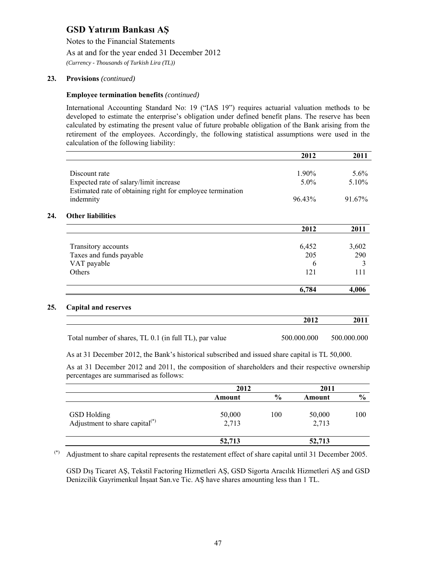Notes to the Financial Statements

As at and for the year ended 31 December 2012

*(Currency - Thousands of Turkish Lira (TL))* 

### **23. Provisions** *(continued)*

**24.** 

**25. Capital and reserves** 

#### **Employee termination benefits** *(continued)*

International Accounting Standard No: 19 ("IAS 19") requires actuarial valuation methods to be developed to estimate the enterprise's obligation under defined benefit plans. The reserve has been calculated by estimating the present value of future probable obligation of the Bank arising from the retirement of the employees. Accordingly, the following statistical assumptions were used in the calculation of the following liability:

|                                                            | 2012        | 2011        |
|------------------------------------------------------------|-------------|-------------|
| Discount rate                                              | 1.90%       | $5.6\%$     |
|                                                            |             |             |
| Expected rate of salary/limit increase                     | $5.0\%$     | $5.10\%$    |
| Estimated rate of obtaining right for employee termination |             |             |
| indemnity                                                  | 96.43%      | 91.67%      |
| <b>Other liabilities</b>                                   |             |             |
|                                                            | 2012        | 2011        |
| Transitory accounts                                        | 6,452       | 3,602       |
| Taxes and funds payable                                    | 205         | 290         |
| VAT payable                                                | 6           | 3           |
|                                                            | 121         | 111         |
| Others                                                     |             |             |
|                                                            | 6,784       | 4,006       |
| <b>Capital and reserves</b>                                |             |             |
|                                                            | 2012        | 2011        |
| Total number of shares, TL 0.1 (in full TL), par value     | 500.000.000 | 500.000.000 |
|                                                            |             |             |

As at 31 December 2012, the Bank's historical subscribed and issued share capital is TL 50,000.

As at 31 December 2012 and 2011, the composition of shareholders and their respective ownership percentages are summarised as follows:

|                                                         | 2012            |               | 2011            |               |
|---------------------------------------------------------|-----------------|---------------|-----------------|---------------|
|                                                         | Amount          | $\frac{6}{9}$ | Amount          | $\frac{6}{9}$ |
| <b>GSD</b> Holding<br>Adjustment to share capital $(*)$ | 50,000<br>2,713 | 100           | 50,000<br>2,713 | 100           |
|                                                         | 52,713          |               | 52,713          |               |

(\*) Adjustment to share capital represents the restatement effect of share capital until 31 December 2005.

GSD Dış Ticaret AŞ, Tekstil Factoring Hizmetleri AŞ, GSD Sigorta Aracılık Hizmetleri AŞ and GSD Denizcilik Gayrimenkul İnşaat San.ve Tic. AŞ have shares amounting less than 1 TL.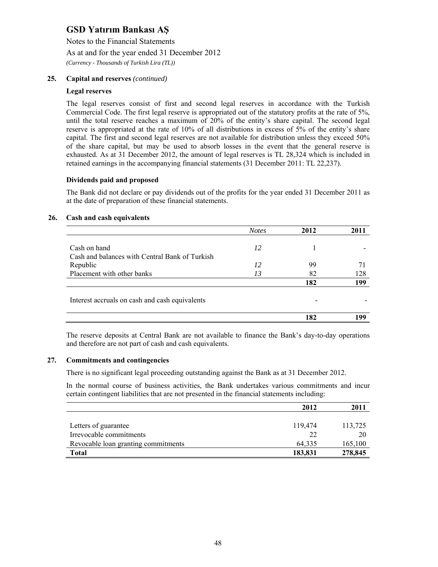Notes to the Financial Statements

As at and for the year ended 31 December 2012

*(Currency - Thousands of Turkish Lira (TL))* 

### **25. Capital and reserves** *(continued)*

### **Legal reserves**

The legal reserves consist of first and second legal reserves in accordance with the Turkish Commercial Code. The first legal reserve is appropriated out of the statutory profits at the rate of 5%, until the total reserve reaches a maximum of 20% of the entity's share capital. The second legal reserve is appropriated at the rate of 10% of all distributions in excess of 5% of the entity's share capital. The first and second legal reserves are not available for distribution unless they exceed 50% of the share capital, but may be used to absorb losses in the event that the general reserve is exhausted. As at 31 December 2012, the amount of legal reserves is TL 28,324 which is included in retained earnings in the accompanying financial statements (31 December 2011: TL 22,237).

#### **Dividends paid and proposed**

The Bank did not declare or pay dividends out of the profits for the year ended 31 December 2011 as at the date of preparation of these financial statements.

#### **26. Cash and cash equivalents**

|                                                | <b>Notes</b> | 2012 |     |
|------------------------------------------------|--------------|------|-----|
|                                                |              |      |     |
| Cash on hand                                   | 12           |      |     |
| Cash and balances with Central Bank of Turkish |              |      |     |
| Republic                                       | 12           | 99   |     |
| Placement with other banks                     | 13           | 82   | 128 |
|                                                |              | 182  | 199 |
|                                                |              |      |     |
| Interest accruals on cash and cash equivalents |              |      |     |
|                                                |              |      |     |
|                                                |              | 182  | QQ  |

The reserve deposits at Central Bank are not available to finance the Bank's day-to-day operations and therefore are not part of cash and cash equivalents.

### **27. Commitments and contingencies**

There is no significant legal proceeding outstanding against the Bank as at 31 December 2012.

In the normal course of business activities, the Bank undertakes various commitments and incur certain contingent liabilities that are not presented in the financial statements including:

|                                     | 2012    | 2011    |
|-------------------------------------|---------|---------|
|                                     |         |         |
| Letters of guarantee                | 119,474 | 113,725 |
| Irrevocable commitments             | 22      | 20      |
| Revocable loan granting commitments | 64.335  | 165,100 |
| <b>Total</b>                        | 183,831 | 278,845 |